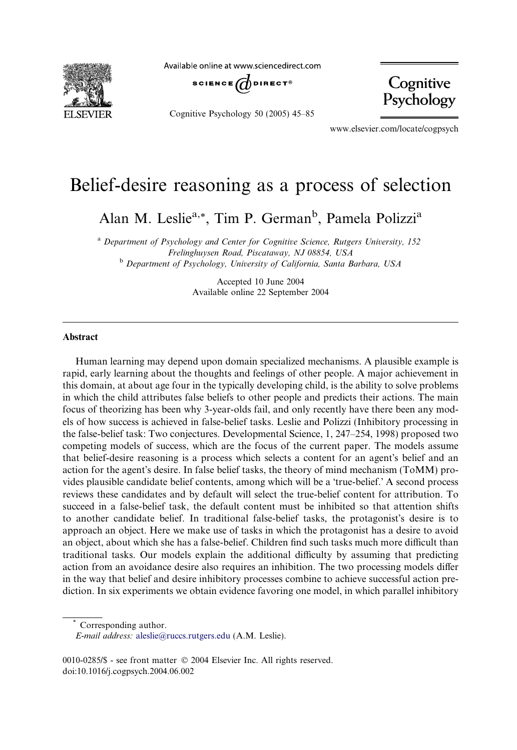

Available online at www.sciencedirect.com



Cognitive Psychology 50 (2005) 45–85

Cognitive Psychology

www.elsevier.com/locate/cogpsych

# Belief-desire reasoning as a process of selection

Alan M. Leslie<sup>a,\*</sup>, Tim P. German<sup>b</sup>, Pamela Polizzi<sup>a</sup>

<sup>a</sup> Department of Psychology and Center for Cognitive Science, Rutgers University, 152 Frelinghuysen Road, Piscataway, NJ 08854, USA <sup>b</sup> Department of Psychology, University of California, Santa Barbara, USA

> Accepted 10 June 2004 Available online 22 September 2004

#### Abstract

Human learning may depend upon domain specialized mechanisms. A plausible example is rapid, early learning about the thoughts and feelings of other people. A major achievement in this domain, at about age four in the typically developing child, is the ability to solve problems in which the child attributes false beliefs to other people and predicts their actions. The main focus of theorizing has been why 3-year-olds fail, and only recently have there been any models of how success is achieved in false-belief tasks. Leslie and Polizzi (Inhibitory processing in the false-belief task: Two conjectures. Developmental Science, 1, 247–254, 1998) proposed two competing models of success, which are the focus of the current paper. The models assume that belief-desire reasoning is a process which selects a content for an agent's belief and an action for the agent's desire. In false belief tasks, the theory of mind mechanism (ToMM) provides plausible candidate belief contents, among which will be a 'true-belief.' A second process reviews these candidates and by default will select the true-belief content for attribution. To succeed in a false-belief task, the default content must be inhibited so that attention shifts to another candidate belief. In traditional false-belief tasks, the protagonist's desire is to approach an object. Here we make use of tasks in which the protagonist has a desire to avoid an object, about which she has a false-belief. Children find such tasks much more difficult than traditional tasks. Our models explain the additional difficulty by assuming that predicting action from an avoidance desire also requires an inhibition. The two processing models differ in the way that belief and desire inhibitory processes combine to achieve successful action prediction. In six experiments we obtain evidence favoring one model, in which parallel inhibitory

Corresponding author.

E-mail address: [aleslie@ruccs.rutgers.edu](mailto:aleslie@ruccs.rutgers.edu ) (A.M. Leslie).

<sup>0010-0285/\$ -</sup> see front matter © 2004 Elsevier Inc. All rights reserved. doi:10.1016/j.cogpsych.2004.06.002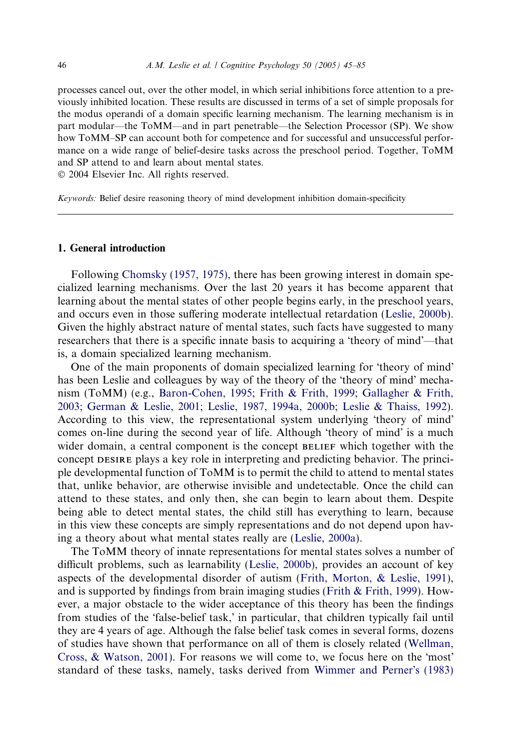processes cancel out, over the other model, in which serial inhibitions force attention to a previously inhibited location. These results are discussed in terms of a set of simple proposals for the modus operandi of a domain specific learning mechanism. The learning mechanism is in part modular—the ToMM—and in part penetrable—the Selection Processor (SP). We show how ToMM–SP can account both for competence and for successful and unsuccessful performance on a wide range of belief-desire tasks across the preschool period. Together, ToMM and SP attend to and learn about mental states.

2004 Elsevier Inc. All rights reserved.

Keywords: Belief desire reasoning theory of mind development inhibition domain-specificity

#### 1. General introduction

Following [Chomsky \(1957, 1975\)](#page-38-0), there has been growing interest in domain specialized learning mechanisms. Over the last 20 years it has become apparent that learning about the mental states of other people begins early, in the preschool years, and occurs even in those suffering moderate intellectual retardation ([Leslie, 2000b\)](#page-39-0). Given the highly abstract nature of mental states, such facts have suggested to many researchers that there is a specific innate basis to acquiring a 'theory of mind'—that is, a domain specialized learning mechanism.

One of the main proponents of domain specialized learning for 'theory of mind' has been Leslie and colleagues by way of the theory of the 'theory of mind' mechanism (ToMM) (e.g., [Baron-Cohen, 1995](#page-38-0); [Frith & Frith, 1999](#page-38-0); [Gallagher & Frith,](#page-38-0) [2003](#page-38-0); [German & Leslie, 2001](#page-39-0); [Leslie, 1987, 1994a, 2000b](#page-39-0); [Leslie & Thaiss, 1992\)](#page-39-0). According to this view, the representational system underlying 'theory of mind' comes on-line during the second year of life. Although 'theory of mind' is a much wider domain, a central component is the concept BELIEF which together with the concept DESIRE plays a key role in interpreting and predicting behavior. The principle developmental function of ToMM is to permit the child to attend to mental states that, unlike behavior, are otherwise invisible and undetectable. Once the child can attend to these states, and only then, she can begin to learn about them. Despite being able to detect mental states, the child still has everything to learn, because in this view these concepts are simply representations and do not depend upon having a theory about what mental states really are ([Leslie, 2000a](#page-39-0)).

The ToMM theory of innate representations for mental states solves a number of difficult problems, such as learnability [\(Leslie, 2000b\)](#page-39-0), provides an account of key aspects of the developmental disorder of autism ([Frith, Morton, & Leslie, 1991\)](#page-38-0), and is supported by findings from brain imaging studies ([Frith & Frith, 1999\)](#page-38-0). However, a major obstacle to the wider acceptance of this theory has been the findings from studies of the 'false-belief task,' in particular, that children typically fail until they are 4 years of age. Although the false belief task comes in several forms, dozens of studies have shown that performance on all of them is closely related ([Wellman,](#page-40-0) Cross,  $\&$  Watson, 2001). For reasons we will come to, we focus here on the 'most' standard of these tasks, namely, tasks derived from [Wimmer and Perner](#page-40-0)'s (1983)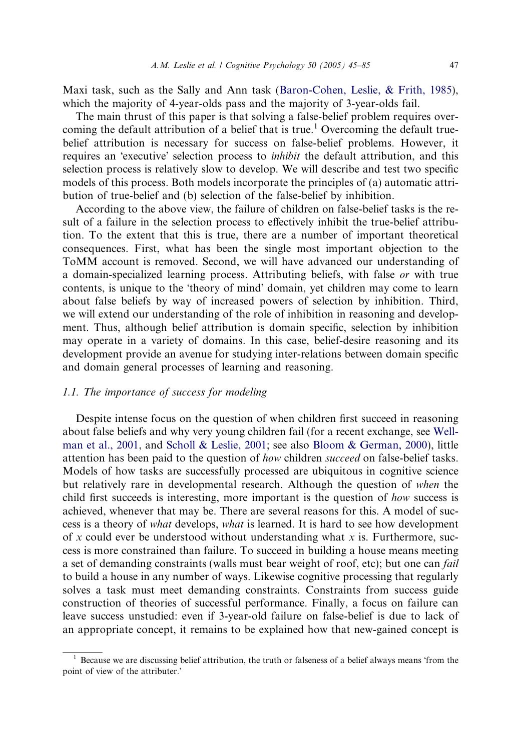Maxi task, such as the Sally and Ann task [\(Baron-Cohen, Leslie, & Frith, 1985](#page-38-0)), which the majority of 4-year-olds pass and the majority of 3-year-olds fail.

The main thrust of this paper is that solving a false-belief problem requires overcoming the default attribution of a belief that is true.<sup>1</sup> Overcoming the default truebelief attribution is necessary for success on false-belief problems. However, it requires an 'executive' selection process to *inhibit* the default attribution, and this selection process is relatively slow to develop. We will describe and test two specific models of this process. Both models incorporate the principles of (a) automatic attribution of true-belief and (b) selection of the false-belief by inhibition.

According to the above view, the failure of children on false-belief tasks is the result of a failure in the selection process to effectively inhibit the true-belief attribution. To the extent that this is true, there are a number of important theoretical consequences. First, what has been the single most important objection to the ToMM account is removed. Second, we will have advanced our understanding of a domain-specialized learning process. Attributing beliefs, with false or with true contents, is unique to the 'theory of mind' domain, yet children may come to learn about false beliefs by way of increased powers of selection by inhibition. Third, we will extend our understanding of the role of inhibition in reasoning and development. Thus, although belief attribution is domain specific, selection by inhibition may operate in a variety of domains. In this case, belief-desire reasoning and its development provide an avenue for studying inter-relations between domain specific and domain general processes of learning and reasoning.

#### 1.1. The importance of success for modeling

Despite intense focus on the question of when children first succeed in reasoning about false beliefs and why very young children fail (for a recent exchange, see [Well](#page-40-0)[man et al., 2001,](#page-40-0) and [Scholl & Leslie, 2001;](#page-40-0) see also [Bloom & German, 2000](#page-38-0)), little attention has been paid to the question of how children succeed on false-belief tasks. Models of how tasks are successfully processed are ubiquitous in cognitive science but relatively rare in developmental research. Although the question of when the child first succeeds is interesting, more important is the question of how success is achieved, whenever that may be. There are several reasons for this. A model of success is a theory of what develops, what is learned. It is hard to see how development of x could ever be understood without understanding what x is. Furthermore, success is more constrained than failure. To succeed in building a house means meeting a set of demanding constraints (walls must bear weight of roof, etc); but one can fail to build a house in any number of ways. Likewise cognitive processing that regularly solves a task must meet demanding constraints. Constraints from success guide construction of theories of successful performance. Finally, a focus on failure can leave success unstudied: even if 3-year-old failure on false-belief is due to lack of an appropriate concept, it remains to be explained how that new-gained concept is

 $1$  Because we are discussing belief attribution, the truth or falseness of a belief always means 'from the point of view of the attributer.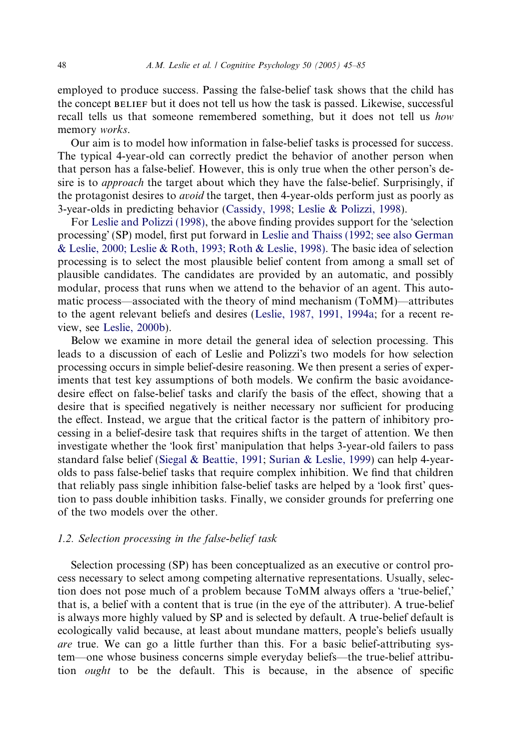employed to produce success. Passing the false-belief task shows that the child has the concept BELIEF but it does not tell us how the task is passed. Likewise, successful recall tells us that someone remembered something, but it does not tell us *how* memory works.

Our aim is to model how information in false-belief tasks is processed for success. The typical 4-year-old can correctly predict the behavior of another person when that person has a false-belief. However, this is only true when the other person's desire is to *approach* the target about which they have the false-belief. Surprisingly, if the protagonist desires to *avoid* the target, then 4-year-olds perform just as poorly as 3-year-olds in predicting behavior ([Cassidy, 1998;](#page-38-0) [Leslie & Polizzi, 1998](#page-39-0)).

For [Leslie and Polizzi \(1998\),](#page-39-0) the above finding provides support for the 'selection processing (SP) model, first put forward in [Leslie and Thaiss \(1992; see also German](#page-39-0) [& Leslie, 2000; Leslie & Roth, 1993; Roth & Leslie, 1998\).](#page-39-0) The basic idea of selection processing is to select the most plausible belief content from among a small set of plausible candidates. The candidates are provided by an automatic, and possibly modular, process that runs when we attend to the behavior of an agent. This automatic process—associated with the theory of mind mechanism (ToMM)—attributes to the agent relevant beliefs and desires ([Leslie, 1987, 1991, 1994a](#page-39-0); for a recent review, see [Leslie, 2000b\)](#page-39-0).

Below we examine in more detail the general idea of selection processing. This leads to a discussion of each of Leslie and Polizzis two models for how selection processing occurs in simple belief-desire reasoning. We then present a series of experiments that test key assumptions of both models. We confirm the basic avoidancedesire effect on false-belief tasks and clarify the basis of the effect, showing that a desire that is specified negatively is neither necessary nor sufficient for producing the effect. Instead, we argue that the critical factor is the pattern of inhibitory processing in a belief-desire task that requires shifts in the target of attention. We then investigate whether the 'look first' manipulation that helps 3-year-old failers to pass standard false belief [\(Siegal & Beattie, 1991](#page-40-0); [Surian & Leslie, 1999\)](#page-40-0) can help 4-yearolds to pass false-belief tasks that require complex inhibition. We find that children that reliably pass single inhibition false-belief tasks are helped by a 'look first' question to pass double inhibition tasks. Finally, we consider grounds for preferring one of the two models over the other.

#### 1.2. Selection processing in the false-belief task

Selection processing (SP) has been conceptualized as an executive or control process necessary to select among competing alternative representations. Usually, selection does not pose much of a problem because ToMM always offers a 'true-belief,' that is, a belief with a content that is true (in the eye of the attributer). A true-belief is always more highly valued by SP and is selected by default. A true-belief default is ecologically valid because, at least about mundane matters, people's beliefs usually are true. We can go a little further than this. For a basic belief-attributing system—one whose business concerns simple everyday beliefs—the true-belief attribution ought to be the default. This is because, in the absence of specific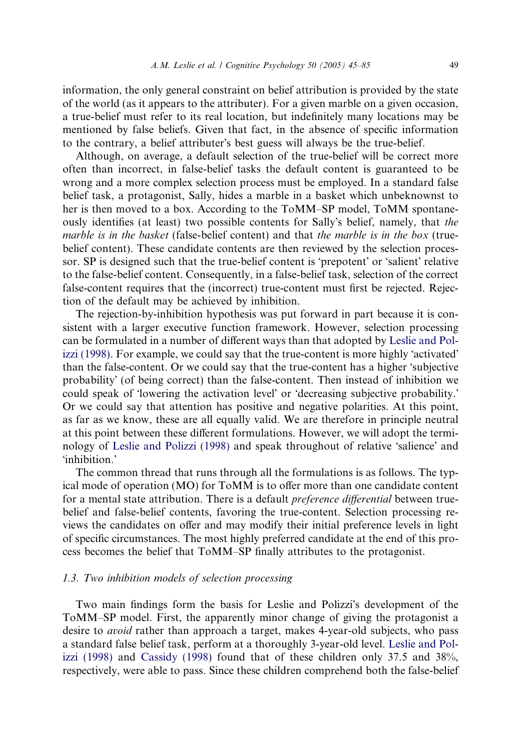information, the only general constraint on belief attribution is provided by the state of the world (as it appears to the attributer). For a given marble on a given occasion, a true-belief must refer to its real location, but indefinitely many locations may be mentioned by false beliefs. Given that fact, in the absence of specific information to the contrary, a belief attributer's best guess will always be the true-belief.

Although, on average, a default selection of the true-belief will be correct more often than incorrect, in false-belief tasks the default content is guaranteed to be wrong and a more complex selection process must be employed. In a standard false belief task, a protagonist, Sally, hides a marble in a basket which unbeknownst to her is then moved to a box. According to the ToMM–SP model, ToMM spontaneously identifies (at least) two possible contents for Sally's belief, namely, that the marble is in the basket (false-belief content) and that the marble is in the box (truebelief content). These candidate contents are then reviewed by the selection processor. SP is designed such that the true-belief content is 'prepotent' or 'salient' relative to the false-belief content. Consequently, in a false-belief task, selection of the correct false-content requires that the (incorrect) true-content must first be rejected. Rejection of the default may be achieved by inhibition.

The rejection-by-inhibition hypothesis was put forward in part because it is consistent with a larger executive function framework. However, selection processing can be formulated in a number of different ways than that adopted by [Leslie and Pol](#page-39-0) $izzi$  (1998). For example, we could say that the true-content is more highly 'activated' than the false-content. Or we could say that the true-content has a higher 'subjective probability (of being correct) than the false-content. Then instead of inhibition we could speak of 'lowering the activation level' or 'decreasing subjective probability.' Or we could say that attention has positive and negative polarities. At this point, as far as we know, these are all equally valid. We are therefore in principle neutral at this point between these different formulations. However, we will adopt the termi-nology of [Leslie and Polizzi \(1998\)](#page-39-0) and speak throughout of relative 'salience' and -inhibition.

The common thread that runs through all the formulations is as follows. The typical mode of operation (MO) for ToMM is to offer more than one candidate content for a mental state attribution. There is a default *preference differential* between truebelief and false-belief contents, favoring the true-content. Selection processing reviews the candidates on offer and may modify their initial preference levels in light of specific circumstances. The most highly preferred candidate at the end of this process becomes the belief that ToMM–SP finally attributes to the protagonist.

# 1.3. Two inhibition models of selection processing

Two main findings form the basis for Leslie and Polizzis development of the ToMM–SP model. First, the apparently minor change of giving the protagonist a desire to *avoid* rather than approach a target, makes 4-year-old subjects, who pass a standard false belief task, perform at a thoroughly 3-year-old level. [Leslie and Pol](#page-39-0)[izzi \(1998\)](#page-39-0) and [Cassidy \(1998\)](#page-38-0) found that of these children only 37.5 and 38%, respectively, were able to pass. Since these children comprehend both the false-belief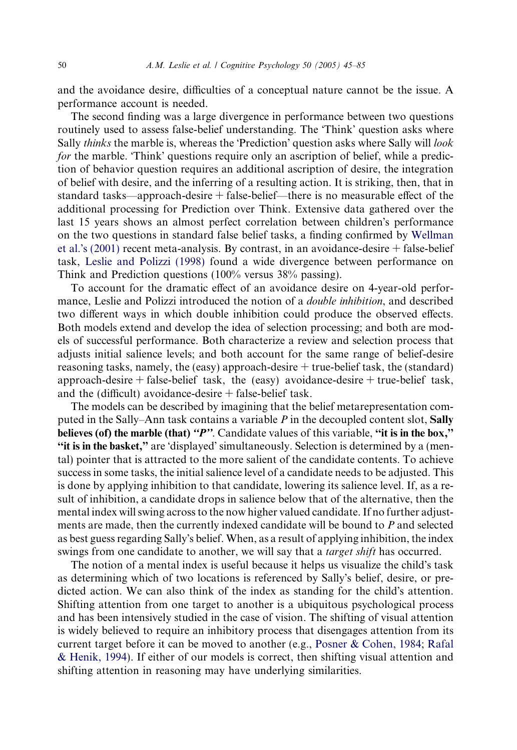and the avoidance desire, difficulties of a conceptual nature cannot be the issue. A performance account is needed.

The second finding was a large divergence in performance between two questions routinely used to assess false-belief understanding. The 'Think' question asks where Sally *thinks* the marble is, whereas the 'Prediction' question asks where Sally will look for the marble. 'Think' questions require only an ascription of belief, while a prediction of behavior question requires an additional ascription of desire, the integration of belief with desire, and the inferring of a resulting action. It is striking, then, that in standard tasks—approach-desire + false-belief—there is no measurable effect of the additional processing for Prediction over Think. Extensive data gathered over the last 15 years shows an almost perfect correlation between children's performance on the two questions in standard false belief tasks, a finding confirmed by [Wellman](#page-40-0) et al.'s  $(2001)$  recent meta-analysis. By contrast, in an avoidance-desire  $+$  false-belief task, [Leslie and Polizzi \(1998\)](#page-39-0) found a wide divergence between performance on Think and Prediction questions (100% versus 38% passing).

To account for the dramatic effect of an avoidance desire on 4-year-old performance, Leslie and Polizzi introduced the notion of a *double inhibition*, and described two different ways in which double inhibition could produce the observed effects. Both models extend and develop the idea of selection processing; and both are models of successful performance. Both characterize a review and selection process that adjusts initial salience levels; and both account for the same range of belief-desire reasoning tasks, namely, the (easy) approach-desire  $+$  true-belief task, the (standard) approach-desire  $+$  false-belief task, the (easy) avoidance-desire  $+$  true-belief task, and the (difficult) avoidance-desire  $+$  false-belief task.

The models can be described by imagining that the belief metarepresentation computed in the Sally–Ann task contains a variable  $P$  in the decoupled content slot, Sally believes (of) the marble (that) "P". Candidate values of this variable, "it is in the box," "it is in the basket," are 'displayed' simultaneously. Selection is determined by a (mental) pointer that is attracted to the more salient of the candidate contents. To achieve success in some tasks, the initial salience level of a candidate needs to be adjusted. This is done by applying inhibition to that candidate, lowering its salience level. If, as a result of inhibition, a candidate drops in salience below that of the alternative, then the mental index will swing across to the now higher valued candidate. If no further adjustments are made, then the currently indexed candidate will be bound to P and selected as best guess regarding Sally's belief. When, as a result of applying inhibition, the index swings from one candidate to another, we will say that a *target shift* has occurred.

The notion of a mental index is useful because it helps us visualize the child's task as determining which of two locations is referenced by Sally's belief, desire, or predicted action. We can also think of the index as standing for the child's attention. Shifting attention from one target to another is a ubiquitous psychological process and has been intensively studied in the case of vision. The shifting of visual attention is widely believed to require an inhibitory process that disengages attention from its current target before it can be moved to another (e.g., [Posner & Cohen, 1984;](#page-40-0) [Rafal](#page-40-0) [& Henik, 1994\)](#page-40-0). If either of our models is correct, then shifting visual attention and shifting attention in reasoning may have underlying similarities.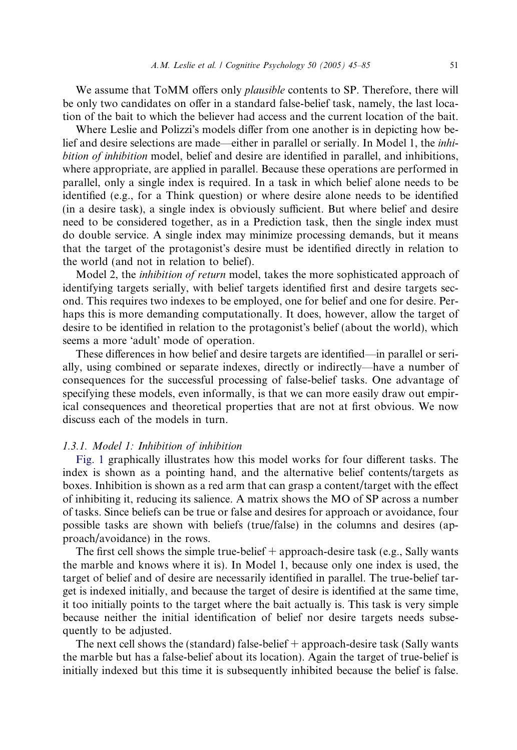We assume that ToMM offers only *plausible* contents to SP. Therefore, there will be only two candidates on offer in a standard false-belief task, namely, the last location of the bait to which the believer had access and the current location of the bait.

Where Leslie and Polizzi's models differ from one another is in depicting how belief and desire selections are made—either in parallel or serially. In Model 1, the inhibition of inhibition model, belief and desire are identified in parallel, and inhibitions, where appropriate, are applied in parallel. Because these operations are performed in parallel, only a single index is required. In a task in which belief alone needs to be identified (e.g., for a Think question) or where desire alone needs to be identified (in a desire task), a single index is obviously sufficient. But where belief and desire need to be considered together, as in a Prediction task, then the single index must do double service. A single index may minimize processing demands, but it means that the target of the protagonist's desire must be identified directly in relation to the world (and not in relation to belief).

Model 2, the *inhibition of return* model, takes the more sophisticated approach of identifying targets serially, with belief targets identified first and desire targets second. This requires two indexes to be employed, one for belief and one for desire. Perhaps this is more demanding computationally. It does, however, allow the target of desire to be identified in relation to the protagonist's belief (about the world), which seems a more 'adult' mode of operation.

These differences in how belief and desire targets are identified—in parallel or serially, using combined or separate indexes, directly or indirectly—have a number of consequences for the successful processing of false-belief tasks. One advantage of specifying these models, even informally, is that we can more easily draw out empirical consequences and theoretical properties that are not at first obvious. We now discuss each of the models in turn.

#### 1.3.1. Model 1: Inhibition of inhibition

[Fig. 1](#page-7-0) graphically illustrates how this model works for four different tasks. The index is shown as a pointing hand, and the alternative belief contents/targets as boxes. Inhibition is shown as a red arm that can grasp a content/target with the effect of inhibiting it, reducing its salience. A matrix shows the MO of SP across a number of tasks. Since beliefs can be true or false and desires for approach or avoidance, four possible tasks are shown with beliefs (true/false) in the columns and desires (approach/avoidance) in the rows.

The first cell shows the simple true-belief  $+$  approach-desire task (e.g., Sally wants the marble and knows where it is). In Model 1, because only one index is used, the target of belief and of desire are necessarily identified in parallel. The true-belief target is indexed initially, and because the target of desire is identified at the same time, it too initially points to the target where the bait actually is. This task is very simple because neither the initial identification of belief nor desire targets needs subsequently to be adjusted.

The next cell shows the (standard) false-belief  $+$  approach-desire task (Sally wants the marble but has a false-belief about its location). Again the target of true-belief is initially indexed but this time it is subsequently inhibited because the belief is false.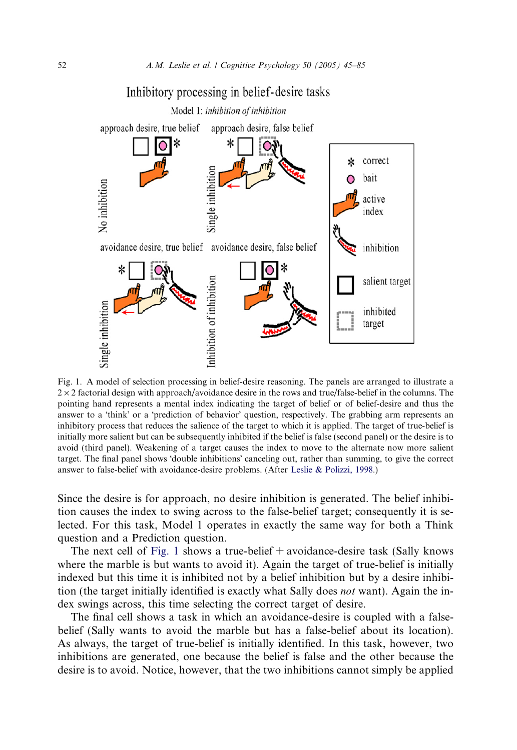<span id="page-7-0"></span>

Fig. 1. A model of selection processing in belief-desire reasoning. The panels are arranged to illustrate a  $2 \times 2$  factorial design with approach/avoidance desire in the rows and true/false-belief in the columns. The pointing hand represents a mental index indicating the target of belief or of belief-desire and thus the answer to a 'think' or a 'prediction of behavior' question, respectively. The grabbing arm represents an inhibitory process that reduces the salience of the target to which it is applied. The target of true-belief is initially more salient but can be subsequently inhibited if the belief is false (second panel) or the desire is to avoid (third panel). Weakening of a target causes the index to move to the alternate now more salient target. The final panel shows 'double inhibitions' canceling out, rather than summing, to give the correct answer to false-belief with avoidance-desire problems. (After [Leslie & Polizzi, 1998.](#page-39-0))

Since the desire is for approach, no desire inhibition is generated. The belief inhibition causes the index to swing across to the false-belief target; consequently it is selected. For this task, Model 1 operates in exactly the same way for both a Think question and a Prediction question.

The next cell of Fig. 1 shows a true-belief  $+$  avoidance-desire task (Sally knows where the marble is but wants to avoid it). Again the target of true-belief is initially indexed but this time it is inhibited not by a belief inhibition but by a desire inhibition (the target initially identified is exactly what Sally does *not* want). Again the index swings across, this time selecting the correct target of desire.

The final cell shows a task in which an avoidance-desire is coupled with a falsebelief (Sally wants to avoid the marble but has a false-belief about its location). As always, the target of true-belief is initially identified. In this task, however, two inhibitions are generated, one because the belief is false and the other because the desire is to avoid. Notice, however, that the two inhibitions cannot simply be applied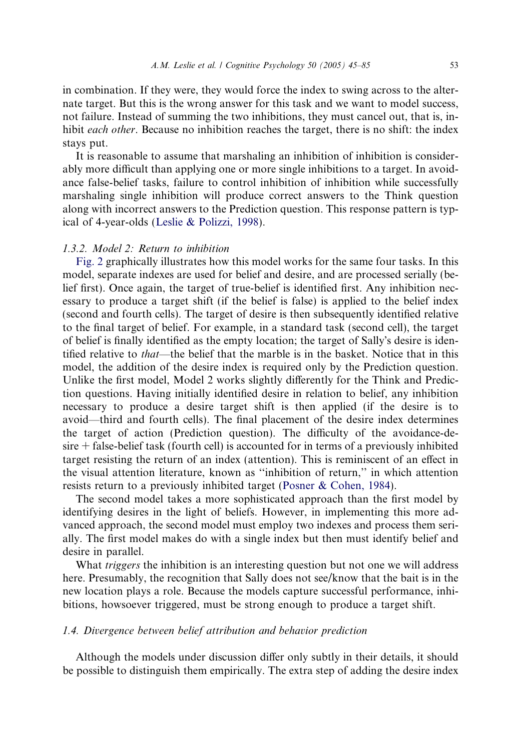in combination. If they were, they would force the index to swing across to the alternate target. But this is the wrong answer for this task and we want to model success, not failure. Instead of summing the two inhibitions, they must cancel out, that is, inhibit *each other*. Because no inhibition reaches the target, there is no shift: the index stays put.

It is reasonable to assume that marshaling an inhibition of inhibition is considerably more difficult than applying one or more single inhibitions to a target. In avoidance false-belief tasks, failure to control inhibition of inhibition while successfully marshaling single inhibition will produce correct answers to the Think question along with incorrect answers to the Prediction question. This response pattern is typical of 4-year-olds ([Leslie & Polizzi, 1998](#page-39-0)).

# 1.3.2. Model 2: Return to inhibition

[Fig. 2](#page-9-0) graphically illustrates how this model works for the same four tasks. In this model, separate indexes are used for belief and desire, and are processed serially (belief first). Once again, the target of true-belief is identified first. Any inhibition necessary to produce a target shift (if the belief is false) is applied to the belief index (second and fourth cells). The target of desire is then subsequently identified relative to the final target of belief. For example, in a standard task (second cell), the target of belief is finally identified as the empty location; the target of Sallys desire is identified relative to that—the belief that the marble is in the basket. Notice that in this model, the addition of the desire index is required only by the Prediction question. Unlike the first model, Model 2 works slightly differently for the Think and Prediction questions. Having initially identified desire in relation to belief, any inhibition necessary to produce a desire target shift is then applied (if the desire is to avoid—third and fourth cells). The final placement of the desire index determines the target of action (Prediction question). The difficulty of the avoidance-de $sire + false$ -belief task (fourth cell) is accounted for in terms of a previously inhibited target resisting the return of an index (attention). This is reminiscent of an effect in the visual attention literature, known as ''inhibition of return,'' in which attention resists return to a previously inhibited target ([Posner & Cohen, 1984](#page-40-0)).

The second model takes a more sophisticated approach than the first model by identifying desires in the light of beliefs. However, in implementing this more advanced approach, the second model must employ two indexes and process them serially. The first model makes do with a single index but then must identify belief and desire in parallel.

What *triggers* the inhibition is an interesting question but not one we will address here. Presumably, the recognition that Sally does not see/know that the bait is in the new location plays a role. Because the models capture successful performance, inhibitions, howsoever triggered, must be strong enough to produce a target shift.

# 1.4. Divergence between belief attribution and behavior prediction

Although the models under discussion differ only subtly in their details, it should be possible to distinguish them empirically. The extra step of adding the desire index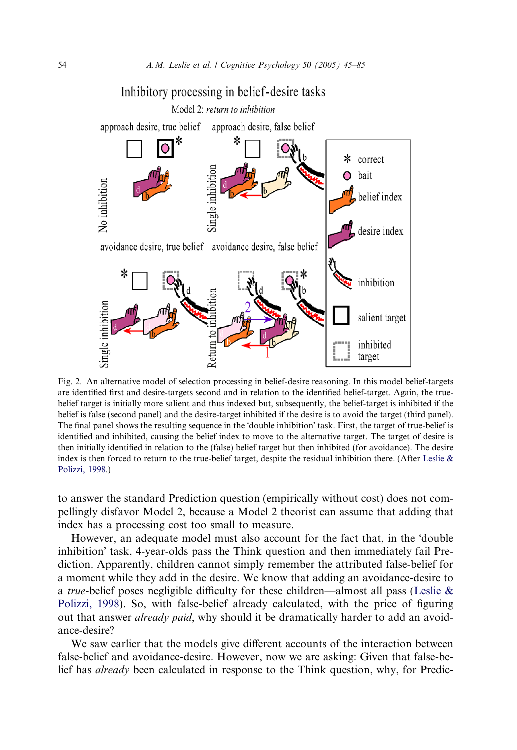<span id="page-9-0"></span>

Fig. 2. An alternative model of selection processing in belief-desire reasoning. In this model belief-targets are identified first and desire-targets second and in relation to the identified belief-target. Again, the truebelief target is initially more salient and thus indexed but, subsequently, the belief-target is inhibited if the belief is false (second panel) and the desire-target inhibited if the desire is to avoid the target (third panel). The final panel shows the resulting sequence in the 'double inhibition' task. First, the target of true-belief is identified and inhibited, causing the belief index to move to the alternative target. The target of desire is then initially identified in relation to the (false) belief target but then inhibited (for avoidance). The desire index is then forced to return to the true-belief target, despite the residual inhibition there. (After [Leslie &](#page-39-0) [Polizzi, 1998.](#page-39-0))

to answer the standard Prediction question (empirically without cost) does not compellingly disfavor Model 2, because a Model 2 theorist can assume that adding that index has a processing cost too small to measure.

However, an adequate model must also account for the fact that, in the 'double inhibition' task, 4-year-olds pass the Think question and then immediately fail Prediction. Apparently, children cannot simply remember the attributed false-belief for a moment while they add in the desire. We know that adding an avoidance-desire to a *true*-belief poses negligible difficulty for these children—almost all pass (Leslie  $\&$ [Polizzi, 1998\)](#page-39-0). So, with false-belief already calculated, with the price of figuring out that answer *already paid*, why should it be dramatically harder to add an avoidance-desire?

We saw earlier that the models give different accounts of the interaction between false-belief and avoidance-desire. However, now we are asking: Given that false-belief has already been calculated in response to the Think question, why, for Predic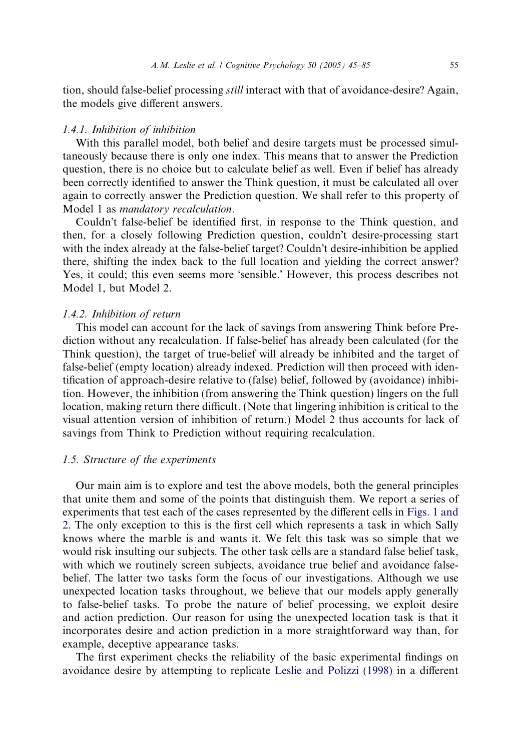tion, should false-belief processing *still* interact with that of avoidance-desire? Again, the models give different answers.

#### 1.4.1. Inhibition of inhibition

With this parallel model, both belief and desire targets must be processed simultaneously because there is only one index. This means that to answer the Prediction question, there is no choice but to calculate belief as well. Even if belief has already been correctly identified to answer the Think question, it must be calculated all over again to correctly answer the Prediction question. We shall refer to this property of Model 1 as mandatory recalculation.

Couldn't false-belief be identified first, in response to the Think question, and then, for a closely following Prediction question, couldn't desire-processing start with the index already at the false-belief target? Couldn't desire-inhibition be applied there, shifting the index back to the full location and yielding the correct answer? Yes, it could; this even seems more 'sensible.' However, this process describes not Model 1, but Model 2.

#### 1.4.2. Inhibition of return

This model can account for the lack of savings from answering Think before Prediction without any recalculation. If false-belief has already been calculated (for the Think question), the target of true-belief will already be inhibited and the target of false-belief (empty location) already indexed. Prediction will then proceed with identification of approach-desire relative to (false) belief, followed by (avoidance) inhibition. However, the inhibition (from answering the Think question) lingers on the full location, making return there difficult. (Note that lingering inhibition is critical to the visual attention version of inhibition of return.) Model 2 thus accounts for lack of savings from Think to Prediction without requiring recalculation.

#### 1.5. Structure of the experiments

Our main aim is to explore and test the above models, both the general principles that unite them and some of the points that distinguish them. We report a series of experiments that test each of the cases represented by the different cells in [Figs. 1 and](#page-7-0) [2.](#page-7-0) The only exception to this is the first cell which represents a task in which Sally knows where the marble is and wants it. We felt this task was so simple that we would risk insulting our subjects. The other task cells are a standard false belief task, with which we routinely screen subjects, avoidance true belief and avoidance falsebelief. The latter two tasks form the focus of our investigations. Although we use unexpected location tasks throughout, we believe that our models apply generally to false-belief tasks. To probe the nature of belief processing, we exploit desire and action prediction. Our reason for using the unexpected location task is that it incorporates desire and action prediction in a more straightforward way than, for example, deceptive appearance tasks.

The first experiment checks the reliability of the basic experimental findings on avoidance desire by attempting to replicate [Leslie and Polizzi \(1998\)](#page-39-0) in a different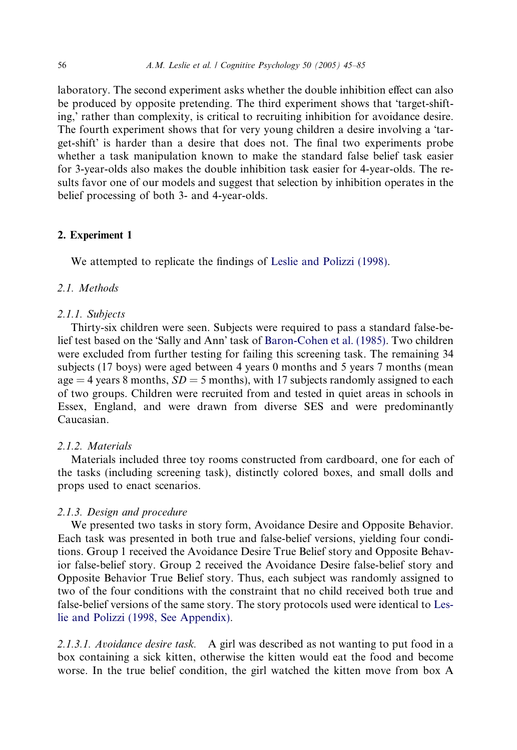laboratory. The second experiment asks whether the double inhibition effect can also be produced by opposite pretending. The third experiment shows that 'target-shifting, rather than complexity, is critical to recruiting inhibition for avoidance desire. The fourth experiment shows that for very young children a desire involving a 'target-shift' is harder than a desire that does not. The final two experiments probe whether a task manipulation known to make the standard false belief task easier for 3-year-olds also makes the double inhibition task easier for 4-year-olds. The results favor one of our models and suggest that selection by inhibition operates in the belief processing of both 3- and 4-year-olds.

# 2. Experiment 1

We attempted to replicate the findings of [Leslie and Polizzi \(1998\).](#page-39-0)

# 2.1. Methods

#### 2.1.1. Subjects

Thirty-six children were seen. Subjects were required to pass a standard false-be-lief test based on the 'Sally and Ann' task of [Baron-Cohen et al. \(1985\)](#page-38-0). Two children were excluded from further testing for failing this screening task. The remaining 34 subjects (17 boys) were aged between 4 years 0 months and 5 years 7 months (mean age  $=$  4 years 8 months,  $SD = 5$  months), with 17 subjects randomly assigned to each of two groups. Children were recruited from and tested in quiet areas in schools in Essex, England, and were drawn from diverse SES and were predominantly Caucasian.

# 2.1.2. Materials

Materials included three toy rooms constructed from cardboard, one for each of the tasks (including screening task), distinctly colored boxes, and small dolls and props used to enact scenarios.

#### 2.1.3. Design and procedure

We presented two tasks in story form, Avoidance Desire and Opposite Behavior. Each task was presented in both true and false-belief versions, yielding four conditions. Group 1 received the Avoidance Desire True Belief story and Opposite Behavior false-belief story. Group 2 received the Avoidance Desire false-belief story and Opposite Behavior True Belief story. Thus, each subject was randomly assigned to two of the four conditions with the constraint that no child received both true and false-belief versions of the same story. The story protocols used were identical to [Les](#page-39-0)[lie and Polizzi \(1998, See Appendix\)](#page-39-0).

2.1.3.1. Avoidance desire task. A girl was described as not wanting to put food in a box containing a sick kitten, otherwise the kitten would eat the food and become worse. In the true belief condition, the girl watched the kitten move from box A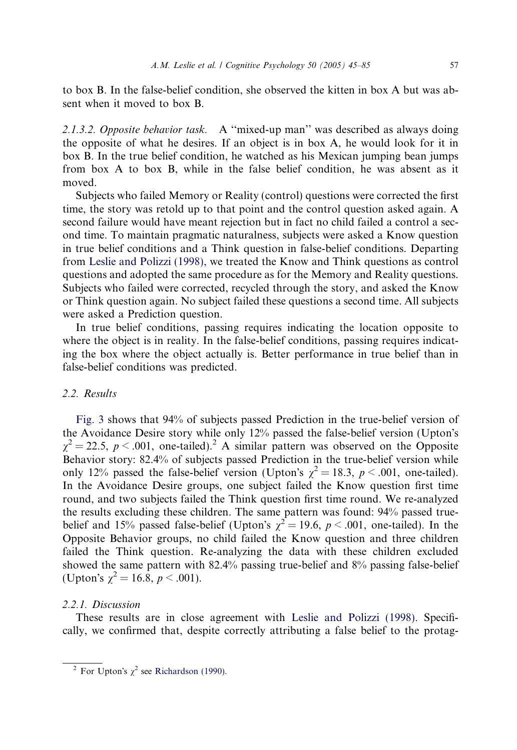to box B. In the false-belief condition, she observed the kitten in box A but was absent when it moved to box B.

2.1.3.2. Opposite behavior task. A ''mixed-up man'' was described as always doing the opposite of what he desires. If an object is in box A, he would look for it in box B. In the true belief condition, he watched as his Mexican jumping bean jumps from box A to box B, while in the false belief condition, he was absent as it moved.

Subjects who failed Memory or Reality (control) questions were corrected the first time, the story was retold up to that point and the control question asked again. A second failure would have meant rejection but in fact no child failed a control a second time. To maintain pragmatic naturalness, subjects were asked a Know question in true belief conditions and a Think question in false-belief conditions. Departing from [Leslie and Polizzi \(1998\),](#page-39-0) we treated the Know and Think questions as control questions and adopted the same procedure as for the Memory and Reality questions. Subjects who failed were corrected, recycled through the story, and asked the Know or Think question again. No subject failed these questions a second time. All subjects were asked a Prediction question.

In true belief conditions, passing requires indicating the location opposite to where the object is in reality. In the false-belief conditions, passing requires indicating the box where the object actually is. Better performance in true belief than in false-belief conditions was predicted.

#### 2.2. Results

[Fig. 3](#page-13-0) shows that 94% of subjects passed Prediction in the true-belief version of the Avoidance Desire story while only  $12\%$  passed the false-belief version (Upton's  $\gamma^2 = 22.5$ ,  $p < .001$ , one-tailed).<sup>2</sup> A similar pattern was observed on the Opposite Behavior story: 82.4% of subjects passed Prediction in the true-belief version while only 12% passed the false-belief version (Upton's  $\chi^2 = 18.3$ ,  $p < .001$ , one-tailed). In the Avoidance Desire groups, one subject failed the Know question first time round, and two subjects failed the Think question first time round. We re-analyzed the results excluding these children. The same pattern was found: 94% passed truebelief and 15% passed false-belief (Upton's  $\chi^2 = 19.6$ ,  $p < .001$ , one-tailed). In the Opposite Behavior groups, no child failed the Know question and three children failed the Think question. Re-analyzing the data with these children excluded showed the same pattern with 82.4% passing true-belief and 8% passing false-belief (Upton's  $\chi^2 = 16.8, p < .001$ ).

#### 2.2.1. Discussion

These results are in close agreement with [Leslie and Polizzi \(1998\).](#page-39-0) Specifically, we confirmed that, despite correctly attributing a false belief to the protag-

<sup>&</sup>lt;sup>2</sup> For Upton's  $\gamma^2$  see [Richardson \(1990\).](#page-40-0)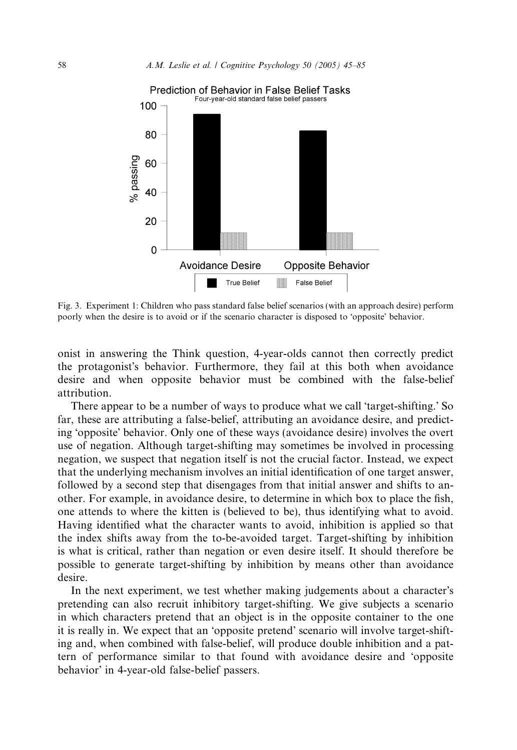<span id="page-13-0"></span>

Fig. 3. Experiment 1: Children who pass standard false belief scenarios (with an approach desire) perform poorly when the desire is to avoid or if the scenario character is disposed to 'opposite' behavior.

onist in answering the Think question, 4-year-olds cannot then correctly predict the protagonist's behavior. Furthermore, they fail at this both when avoidance desire and when opposite behavior must be combined with the false-belief attribution.

There appear to be a number of ways to produce what we call 'target-shifting.' So far, these are attributing a false-belief, attributing an avoidance desire, and predicting 'opposite' behavior. Only one of these ways (avoidance desire) involves the overt use of negation. Although target-shifting may sometimes be involved in processing negation, we suspect that negation itself is not the crucial factor. Instead, we expect that the underlying mechanism involves an initial identification of one target answer, followed by a second step that disengages from that initial answer and shifts to another. For example, in avoidance desire, to determine in which box to place the fish, one attends to where the kitten is (believed to be), thus identifying what to avoid. Having identified what the character wants to avoid, inhibition is applied so that the index shifts away from the to-be-avoided target. Target-shifting by inhibition is what is critical, rather than negation or even desire itself. It should therefore be possible to generate target-shifting by inhibition by means other than avoidance desire.

In the next experiment, we test whether making judgements about a character's pretending can also recruit inhibitory target-shifting. We give subjects a scenario in which characters pretend that an object is in the opposite container to the one it is really in. We expect that an 'opposite pretend' scenario will involve target-shifting and, when combined with false-belief, will produce double inhibition and a pattern of performance similar to that found with avoidance desire and 'opposite behavior' in 4-year-old false-belief passers.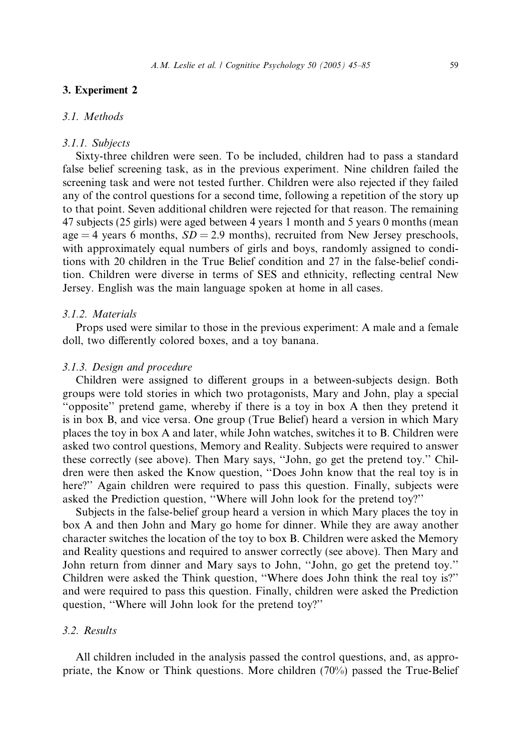#### 3. Experiment 2

# 3.1. Methods

#### 3.1.1. Subjects

Sixty-three children were seen. To be included, children had to pass a standard false belief screening task, as in the previous experiment. Nine children failed the screening task and were not tested further. Children were also rejected if they failed any of the control questions for a second time, following a repetition of the story up to that point. Seven additional children were rejected for that reason. The remaining 47 subjects (25 girls) were aged between 4 years 1 month and 5 years 0 months (mean age  $=$  4 years 6 months,  $SD = 2.9$  months), recruited from New Jersey preschools, with approximately equal numbers of girls and boys, randomly assigned to conditions with 20 children in the True Belief condition and 27 in the false-belief condition. Children were diverse in terms of SES and ethnicity, reflecting central New Jersey. English was the main language spoken at home in all cases.

#### 3.1.2. Materials

Props used were similar to those in the previous experiment: A male and a female doll, two differently colored boxes, and a toy banana.

#### 3.1.3. Design and procedure

Children were assigned to different groups in a between-subjects design. Both groups were told stories in which two protagonists, Mary and John, play a special ''opposite'' pretend game, whereby if there is a toy in box A then they pretend it is in box B, and vice versa. One group (True Belief) heard a version in which Mary places the toy in box A and later, while John watches, switches it to B. Children were asked two control questions, Memory and Reality. Subjects were required to answer these correctly (see above). Then Mary says, ''John, go get the pretend toy.'' Children were then asked the Know question, ''Does John know that the real toy is in here?'' Again children were required to pass this question. Finally, subjects were asked the Prediction question, ''Where will John look for the pretend toy?''

Subjects in the false-belief group heard a version in which Mary places the toy in box A and then John and Mary go home for dinner. While they are away another character switches the location of the toy to box B. Children were asked the Memory and Reality questions and required to answer correctly (see above). Then Mary and John return from dinner and Mary says to John, ''John, go get the pretend toy.'' Children were asked the Think question, ''Where does John think the real toy is?'' and were required to pass this question. Finally, children were asked the Prediction question, ''Where will John look for the pretend toy?''

# 3.2. Results

All children included in the analysis passed the control questions, and, as appropriate, the Know or Think questions. More children (70%) passed the True-Belief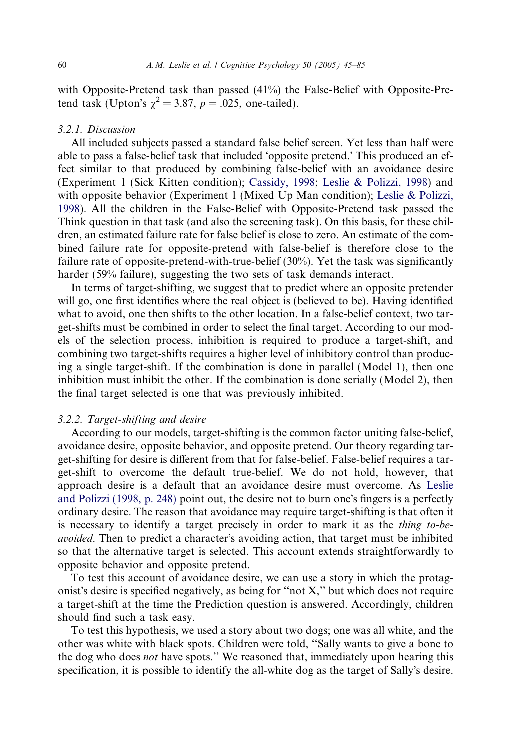with Opposite-Pretend task than passed (41%) the False-Belief with Opposite-Pretend task (Upton's  $\gamma^2 = 3.87$ ,  $p = .025$ , one-tailed).

#### 3.2.1. Discussion

All included subjects passed a standard false belief screen. Yet less than half were able to pass a false-belief task that included 'opposite pretend.' This produced an effect similar to that produced by combining false-belief with an avoidance desire (Experiment 1 (Sick Kitten condition); [Cassidy, 1998](#page-38-0); [Leslie & Polizzi, 1998](#page-39-0)) and with opposite behavior (Experiment 1 (Mixed Up Man condition); [Leslie & Polizzi,](#page-39-0) [1998](#page-39-0)). All the children in the False-Belief with Opposite-Pretend task passed the Think question in that task (and also the screening task). On this basis, for these children, an estimated failure rate for false belief is close to zero. An estimate of the combined failure rate for opposite-pretend with false-belief is therefore close to the failure rate of opposite-pretend-with-true-belief (30%). Yet the task was significantly harder (59% failure), suggesting the two sets of task demands interact.

In terms of target-shifting, we suggest that to predict where an opposite pretender will go, one first identifies where the real object is (believed to be). Having identified what to avoid, one then shifts to the other location. In a false-belief context, two target-shifts must be combined in order to select the final target. According to our models of the selection process, inhibition is required to produce a target-shift, and combining two target-shifts requires a higher level of inhibitory control than producing a single target-shift. If the combination is done in parallel (Model 1), then one inhibition must inhibit the other. If the combination is done serially (Model 2), then the final target selected is one that was previously inhibited.

#### 3.2.2. Target-shifting and desire

According to our models, target-shifting is the common factor uniting false-belief, avoidance desire, opposite behavior, and opposite pretend. Our theory regarding target-shifting for desire is different from that for false-belief. False-belief requires a target-shift to overcome the default true-belief. We do not hold, however, that approach desire is a default that an avoidance desire must overcome. As [Leslie](#page-39-0) [and Polizzi \(1998, p. 248\)](#page-39-0) point out, the desire not to burn one's fingers is a perfectly ordinary desire. The reason that avoidance may require target-shifting is that often it is necessary to identify a target precisely in order to mark it as the thing to-beavoided. Then to predict a character's avoiding action, that target must be inhibited so that the alternative target is selected. This account extends straightforwardly to opposite behavior and opposite pretend.

To test this account of avoidance desire, we can use a story in which the protagonist's desire is specified negatively, as being for "not X," but which does not require a target-shift at the time the Prediction question is answered. Accordingly, children should find such a task easy.

To test this hypothesis, we used a story about two dogs; one was all white, and the other was white with black spots. Children were told, ''Sally wants to give a bone to the dog who does *not* have spots." We reasoned that, immediately upon hearing this specification, it is possible to identify the all-white dog as the target of Sally's desire.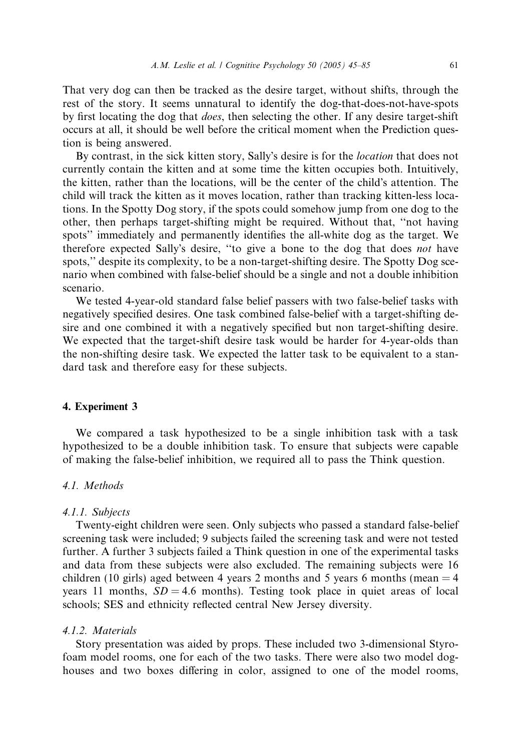That very dog can then be tracked as the desire target, without shifts, through the rest of the story. It seems unnatural to identify the dog-that-does-not-have-spots by first locating the dog that does, then selecting the other. If any desire target-shift occurs at all, it should be well before the critical moment when the Prediction question is being answered.

By contrast, in the sick kitten story, Sally's desire is for the *location* that does not currently contain the kitten and at some time the kitten occupies both. Intuitively, the kitten, rather than the locations, will be the center of the child's attention. The child will track the kitten as it moves location, rather than tracking kitten-less locations. In the Spotty Dog story, if the spots could somehow jump from one dog to the other, then perhaps target-shifting might be required. Without that, ''not having spots'' immediately and permanently identifies the all-white dog as the target. We therefore expected Sally's desire, "to give a bone to the dog that does not have spots,'' despite its complexity, to be a non-target-shifting desire. The Spotty Dog scenario when combined with false-belief should be a single and not a double inhibition scenario.

We tested 4-year-old standard false belief passers with two false-belief tasks with negatively specified desires. One task combined false-belief with a target-shifting desire and one combined it with a negatively specified but non target-shifting desire. We expected that the target-shift desire task would be harder for 4-year-olds than the non-shifting desire task. We expected the latter task to be equivalent to a standard task and therefore easy for these subjects.

# 4. Experiment 3

We compared a task hypothesized to be a single inhibition task with a task hypothesized to be a double inhibition task. To ensure that subjects were capable of making the false-belief inhibition, we required all to pass the Think question.

# 4.1. Methods

#### 4.1.1. Subjects

Twenty-eight children were seen. Only subjects who passed a standard false-belief screening task were included; 9 subjects failed the screening task and were not tested further. A further 3 subjects failed a Think question in one of the experimental tasks and data from these subjects were also excluded. The remaining subjects were 16 children (10 girls) aged between 4 years 2 months and 5 years 6 months (mean  $=$  4 years 11 months,  $SD = 4.6$  months). Testing took place in quiet areas of local schools; SES and ethnicity reflected central New Jersey diversity.

# 4.1.2. Materials

Story presentation was aided by props. These included two 3-dimensional Styrofoam model rooms, one for each of the two tasks. There were also two model doghouses and two boxes differing in color, assigned to one of the model rooms,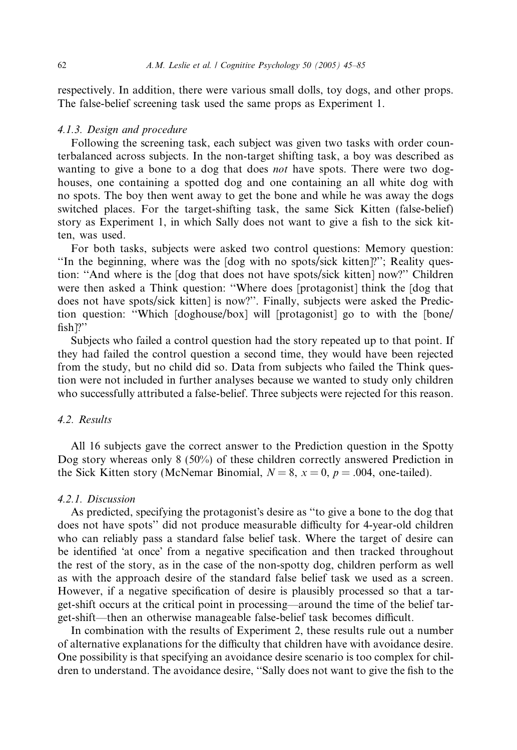respectively. In addition, there were various small dolls, toy dogs, and other props. The false-belief screening task used the same props as Experiment 1.

#### 4.1.3. Design and procedure

Following the screening task, each subject was given two tasks with order counterbalanced across subjects. In the non-target shifting task, a boy was described as wanting to give a bone to a dog that does *not* have spots. There were two doghouses, one containing a spotted dog and one containing an all white dog with no spots. The boy then went away to get the bone and while he was away the dogs switched places. For the target-shifting task, the same Sick Kitten (false-belief) story as Experiment 1, in which Sally does not want to give a fish to the sick kitten, was used.

For both tasks, subjects were asked two control questions: Memory question: ''In the beginning, where was the [dog with no spots/sick kitten]?''; Reality question: ''And where is the [dog that does not have spots/sick kitten] now?'' Children were then asked a Think question: ''Where does [protagonist] think the [dog that does not have spots/sick kitten] is now?''. Finally, subjects were asked the Prediction question: ''Which [doghouse/box] will [protagonist] go to with the [bone/ fish]?''

Subjects who failed a control question had the story repeated up to that point. If they had failed the control question a second time, they would have been rejected from the study, but no child did so. Data from subjects who failed the Think question were not included in further analyses because we wanted to study only children who successfully attributed a false-belief. Three subjects were rejected for this reason.

# 4.2. Results

All 16 subjects gave the correct answer to the Prediction question in the Spotty Dog story whereas only 8 (50%) of these children correctly answered Prediction in the Sick Kitten story (McNemar Binomial,  $N = 8$ ,  $x = 0$ ,  $p = .004$ , one-tailed).

#### 4.2.1. Discussion

As predicted, specifying the protagonist's desire as "to give a bone to the dog that does not have spots'' did not produce measurable difficulty for 4-year-old children who can reliably pass a standard false belief task. Where the target of desire can be identified 'at once' from a negative specification and then tracked throughout the rest of the story, as in the case of the non-spotty dog, children perform as well as with the approach desire of the standard false belief task we used as a screen. However, if a negative specification of desire is plausibly processed so that a target-shift occurs at the critical point in processing—around the time of the belief target-shift—then an otherwise manageable false-belief task becomes difficult.

In combination with the results of Experiment 2, these results rule out a number of alternative explanations for the difficulty that children have with avoidance desire. One possibility is that specifying an avoidance desire scenario is too complex for children to understand. The avoidance desire, ''Sally does not want to give the fish to the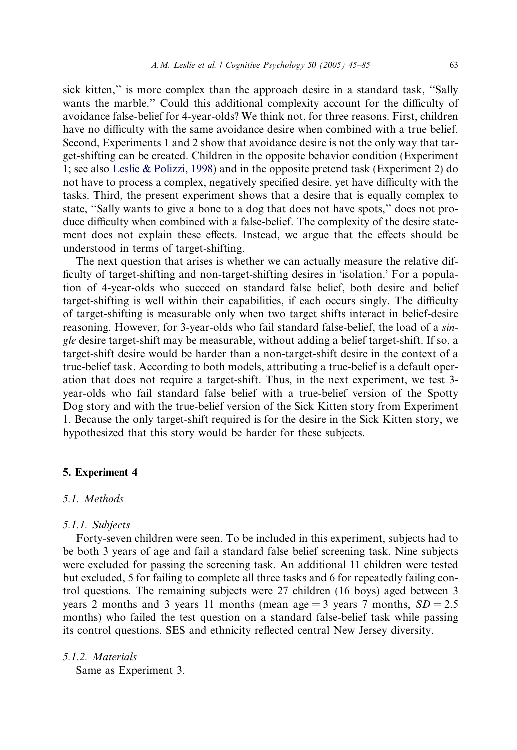sick kitten,'' is more complex than the approach desire in a standard task, ''Sally wants the marble.'' Could this additional complexity account for the difficulty of avoidance false-belief for 4-year-olds? We think not, for three reasons. First, children have no difficulty with the same avoidance desire when combined with a true belief. Second, Experiments 1 and 2 show that avoidance desire is not the only way that target-shifting can be created. Children in the opposite behavior condition (Experiment 1; see also [Leslie & Polizzi, 1998\)](#page-39-0) and in the opposite pretend task (Experiment 2) do not have to process a complex, negatively specified desire, yet have difficulty with the tasks. Third, the present experiment shows that a desire that is equally complex to state, ''Sally wants to give a bone to a dog that does not have spots,'' does not produce difficulty when combined with a false-belief. The complexity of the desire statement does not explain these effects. Instead, we argue that the effects should be understood in terms of target-shifting.

The next question that arises is whether we can actually measure the relative difficulty of target-shifting and non-target-shifting desires in 'isolation.' For a population of 4-year-olds who succeed on standard false belief, both desire and belief target-shifting is well within their capabilities, if each occurs singly. The difficulty of target-shifting is measurable only when two target shifts interact in belief-desire reasoning. However, for 3-year-olds who fail standard false-belief, the load of a single desire target-shift may be measurable, without adding a belief target-shift. If so, a target-shift desire would be harder than a non-target-shift desire in the context of a true-belief task. According to both models, attributing a true-belief is a default operation that does not require a target-shift. Thus, in the next experiment, we test 3 year-olds who fail standard false belief with a true-belief version of the Spotty Dog story and with the true-belief version of the Sick Kitten story from Experiment 1. Because the only target-shift required is for the desire in the Sick Kitten story, we hypothesized that this story would be harder for these subjects.

# 5. Experiment 4

# 5.1. Methods

#### 5.1.1. Subjects

Forty-seven children were seen. To be included in this experiment, subjects had to be both 3 years of age and fail a standard false belief screening task. Nine subjects were excluded for passing the screening task. An additional 11 children were tested but excluded, 5 for failing to complete all three tasks and 6 for repeatedly failing control questions. The remaining subjects were 27 children (16 boys) aged between 3 years 2 months and 3 years 11 months (mean age  $=$  3 years 7 months,  $SD = 2.5$ months) who failed the test question on a standard false-belief task while passing its control questions. SES and ethnicity reflected central New Jersey diversity.

5.1.2. Materials

Same as Experiment 3.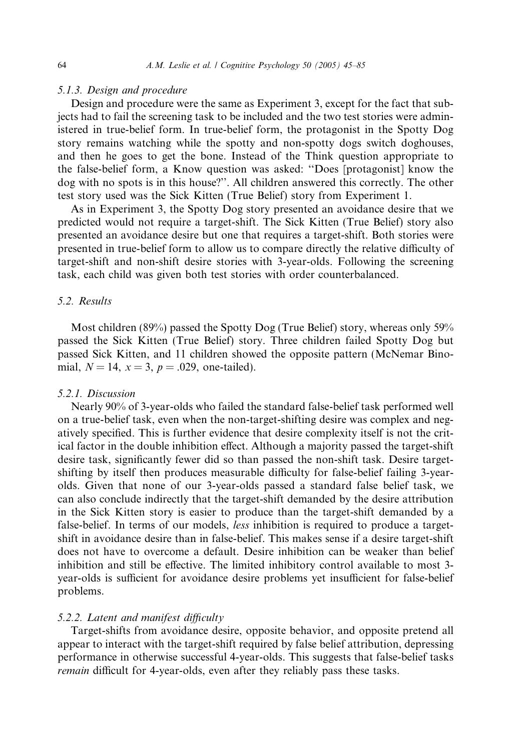# 5.1.3. Design and procedure

Design and procedure were the same as Experiment 3, except for the fact that subjects had to fail the screening task to be included and the two test stories were administered in true-belief form. In true-belief form, the protagonist in the Spotty Dog story remains watching while the spotty and non-spotty dogs switch doghouses, and then he goes to get the bone. Instead of the Think question appropriate to the false-belief form, a Know question was asked: ''Does [protagonist] know the dog with no spots is in this house?''. All children answered this correctly. The other test story used was the Sick Kitten (True Belief) story from Experiment 1.

As in Experiment 3, the Spotty Dog story presented an avoidance desire that we predicted would not require a target-shift. The Sick Kitten (True Belief) story also presented an avoidance desire but one that requires a target-shift. Both stories were presented in true-belief form to allow us to compare directly the relative difficulty of target-shift and non-shift desire stories with 3-year-olds. Following the screening task, each child was given both test stories with order counterbalanced.

# 5.2. Results

Most children (89%) passed the Spotty Dog (True Belief) story, whereas only 59% passed the Sick Kitten (True Belief) story. Three children failed Spotty Dog but passed Sick Kitten, and 11 children showed the opposite pattern (McNemar Binomial,  $N = 14$ ,  $x = 3$ ,  $p = .029$ , one-tailed).

# 5.2.1. Discussion

Nearly 90% of 3-year-olds who failed the standard false-belief task performed well on a true-belief task, even when the non-target-shifting desire was complex and negatively specified. This is further evidence that desire complexity itself is not the critical factor in the double inhibition effect. Although a majority passed the target-shift desire task, significantly fewer did so than passed the non-shift task. Desire targetshifting by itself then produces measurable difficulty for false-belief failing 3-yearolds. Given that none of our 3-year-olds passed a standard false belief task, we can also conclude indirectly that the target-shift demanded by the desire attribution in the Sick Kitten story is easier to produce than the target-shift demanded by a false-belief. In terms of our models, *less* inhibition is required to produce a targetshift in avoidance desire than in false-belief. This makes sense if a desire target-shift does not have to overcome a default. Desire inhibition can be weaker than belief inhibition and still be effective. The limited inhibitory control available to most 3 year-olds is sufficient for avoidance desire problems yet insufficient for false-belief problems.

#### 5.2.2. Latent and manifest difficulty

Target-shifts from avoidance desire, opposite behavior, and opposite pretend all appear to interact with the target-shift required by false belief attribution, depressing performance in otherwise successful 4-year-olds. This suggests that false-belief tasks remain difficult for 4-year-olds, even after they reliably pass these tasks.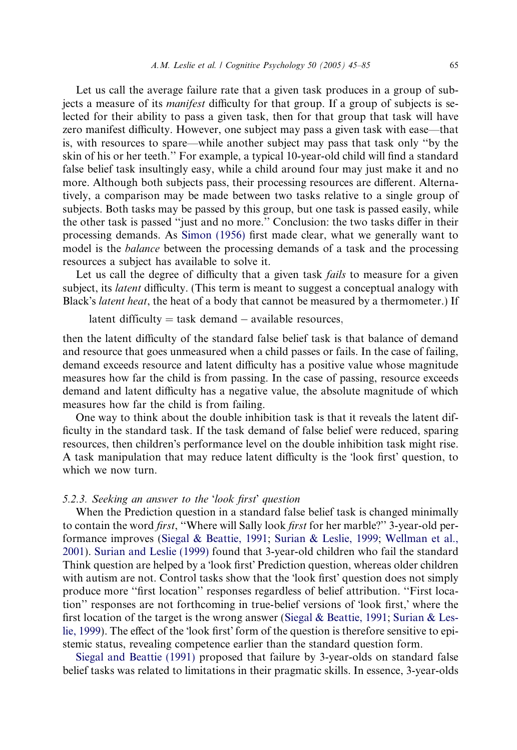Let us call the average failure rate that a given task produces in a group of subjects a measure of its manifest difficulty for that group. If a group of subjects is selected for their ability to pass a given task, then for that group that task will have zero manifest difficulty. However, one subject may pass a given task with ease—that is, with resources to spare—while another subject may pass that task only ''by the skin of his or her teeth.'' For example, a typical 10-year-old child will find a standard false belief task insultingly easy, while a child around four may just make it and no more. Although both subjects pass, their processing resources are different. Alternatively, a comparison may be made between two tasks relative to a single group of subjects. Both tasks may be passed by this group, but one task is passed easily, while the other task is passed ''just and no more.'' Conclusion: the two tasks differ in their processing demands. As [Simon \(1956\)](#page-40-0) first made clear, what we generally want to model is the *balance* between the processing demands of a task and the processing resources a subject has available to solve it.

Let us call the degree of difficulty that a given task *fails* to measure for a given subject, its *latent* difficulty. (This term is meant to suggest a conceptual analogy with Black's *latent heat*, the heat of a body that cannot be measured by a thermometer.) If

latent difficulty  $=$  task demand  $-$  available resources,

then the latent difficulty of the standard false belief task is that balance of demand and resource that goes unmeasured when a child passes or fails. In the case of failing, demand exceeds resource and latent difficulty has a positive value whose magnitude measures how far the child is from passing. In the case of passing, resource exceeds demand and latent difficulty has a negative value, the absolute magnitude of which measures how far the child is from failing.

One way to think about the double inhibition task is that it reveals the latent difficulty in the standard task. If the task demand of false belief were reduced, sparing resources, then children's performance level on the double inhibition task might rise. A task manipulation that may reduce latent difficulty is the 'look first' question, to which we now turn.

#### 5.2.3. Seeking an answer to the 'look first' question

When the Prediction question in a standard false belief task is changed minimally to contain the word *first*, "Where will Sally look *first* for her marble?" 3-year-old performance improves [\(Siegal & Beattie, 1991](#page-40-0); [Surian & Leslie, 1999;](#page-40-0) [Wellman et al.,](#page-40-0) [2001\)](#page-40-0). [Surian and Leslie \(1999\)](#page-40-0) found that 3-year-old children who fail the standard Think question are helped by a 'look first' Prediction question, whereas older children with autism are not. Control tasks show that the 'look first' question does not simply produce more ''first location'' responses regardless of belief attribution. ''First location" responses are not forthcoming in true-belief versions of 'look first,' where the first location of the target is the wrong answer ([Siegal & Beattie, 1991;](#page-40-0) [Surian & Les](#page-40-0)[lie, 1999](#page-40-0)). The effect of the 'look first' form of the question is therefore sensitive to epistemic status, revealing competence earlier than the standard question form.

[Siegal and Beattie \(1991\)](#page-40-0) proposed that failure by 3-year-olds on standard false belief tasks was related to limitations in their pragmatic skills. In essence, 3-year-olds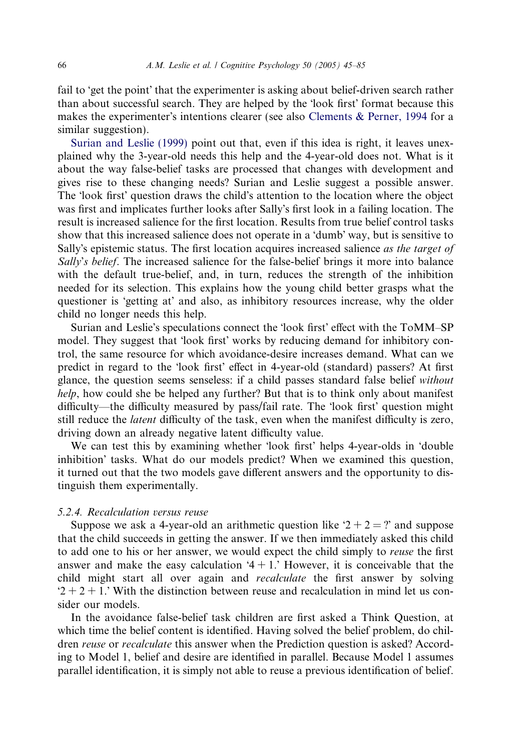fail to 'get the point' that the experimenter is asking about belief-driven search rather than about successful search. They are helped by the 'look first' format because this makes the experimenter's intentions clearer (see also Clements  $&$  Perner, 1994 for a similar suggestion).

[Surian and Leslie \(1999\)](#page-40-0) point out that, even if this idea is right, it leaves unexplained why the 3-year-old needs this help and the 4-year-old does not. What is it about the way false-belief tasks are processed that changes with development and gives rise to these changing needs? Surian and Leslie suggest a possible answer. The 'look first' question draws the child's attention to the location where the object was first and implicates further looks after Sallys first look in a failing location. The result is increased salience for the first location. Results from true belief control tasks show that this increased salience does not operate in a 'dumb' way, but is sensitive to Sally's epistemic status. The first location acquires increased salience as the target of Sally's belief. The increased salience for the false-belief brings it more into balance with the default true-belief, and, in turn, reduces the strength of the inhibition needed for its selection. This explains how the young child better grasps what the questioner is 'getting at' and also, as inhibitory resources increase, why the older child no longer needs this help.

Surian and Leslie's speculations connect the 'look first' effect with the ToMM–SP model. They suggest that 'look first' works by reducing demand for inhibitory control, the same resource for which avoidance-desire increases demand. What can we predict in regard to the -look first effect in 4-year-old (standard) passers? At first glance, the question seems senseless: if a child passes standard false belief without help, how could she be helped any further? But that is to think only about manifest difficulty—the difficulty measured by pass/fail rate. The 'look first' question might still reduce the *latent* difficulty of the task, even when the manifest difficulty is zero, driving down an already negative latent difficulty value.

We can test this by examining whether 'look first' helps 4-year-olds in 'double inhibition' tasks. What do our models predict? When we examined this question, it turned out that the two models gave different answers and the opportunity to distinguish them experimentally.

# 5.2.4. Recalculation versus reuse

Suppose we ask a 4-year-old an arithmetic question like  $2 + 2 = ?$  and suppose that the child succeeds in getting the answer. If we then immediately asked this child to add one to his or her answer, we would expect the child simply to reuse the first answer and make the easy calculation  $4 + 1$ . However, it is conceivable that the child might start all over again and *recalculate* the first answer by solving  $2+2+1$ . With the distinction between reuse and recalculation in mind let us consider our models.

In the avoidance false-belief task children are first asked a Think Question, at which time the belief content is identified. Having solved the belief problem, do children reuse or recalculate this answer when the Prediction question is asked? According to Model 1, belief and desire are identified in parallel. Because Model 1 assumes parallel identification, it is simply not able to reuse a previous identification of belief.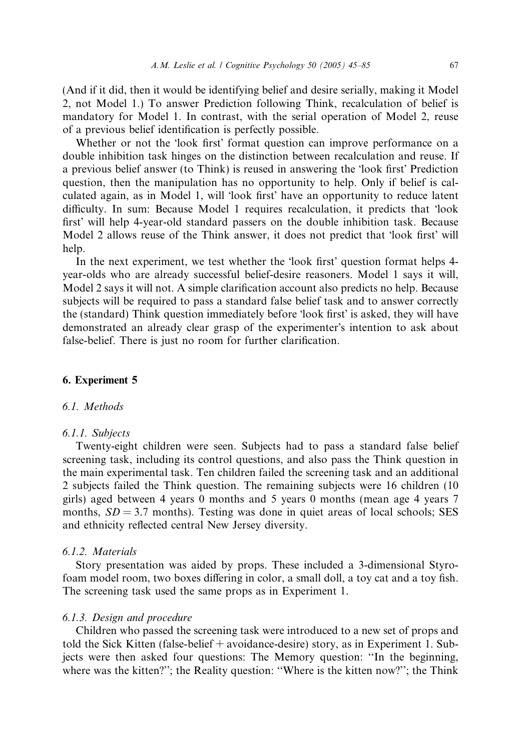(And if it did, then it would be identifying belief and desire serially, making it Model 2, not Model 1.) To answer Prediction following Think, recalculation of belief is mandatory for Model 1. In contrast, with the serial operation of Model 2, reuse of a previous belief identification is perfectly possible.

Whether or not the 'look first' format question can improve performance on a double inhibition task hinges on the distinction between recalculation and reuse. If a previous belief answer (to Think) is reused in answering the 'look first' Prediction question, then the manipulation has no opportunity to help. Only if belief is calculated again, as in Model 1, will 'look first' have an opportunity to reduce latent difficulty. In sum: Because Model 1 requires recalculation, it predicts that 'look first' will help 4-year-old standard passers on the double inhibition task. Because Model 2 allows reuse of the Think answer, it does not predict that 'look first' will help.

In the next experiment, we test whether the 'look first' question format helps 4year-olds who are already successful belief-desire reasoners. Model 1 says it will, Model 2 says it will not. A simple clarification account also predicts no help. Because subjects will be required to pass a standard false belief task and to answer correctly the (standard) Think question immediately before 'look first' is asked, they will have demonstrated an already clear grasp of the experimenter's intention to ask about false-belief. There is just no room for further clarification.

# 6. Experiment 5

#### 6.1. Methods

#### 6.1.1. Subjects

Twenty-eight children were seen. Subjects had to pass a standard false belief screening task, including its control questions, and also pass the Think question in the main experimental task. Ten children failed the screening task and an additional 2 subjects failed the Think question. The remaining subjects were 16 children (10 girls) aged between 4 years 0 months and 5 years 0 months (mean age 4 years 7 months,  $SD = 3.7$  months). Testing was done in quiet areas of local schools; SES and ethnicity reflected central New Jersey diversity.

#### 6.1.2. Materials

Story presentation was aided by props. These included a 3-dimensional Styrofoam model room, two boxes differing in color, a small doll, a toy cat and a toy fish. The screening task used the same props as in Experiment 1.

#### 6.1.3. Design and procedure

Children who passed the screening task were introduced to a new set of props and told the Sick Kitten (false-belief + avoidance-desire) story, as in Experiment 1. Subjects were then asked four questions: The Memory question: ''In the beginning, where was the kitten?"; the Reality question: "Where is the kitten now?"; the Think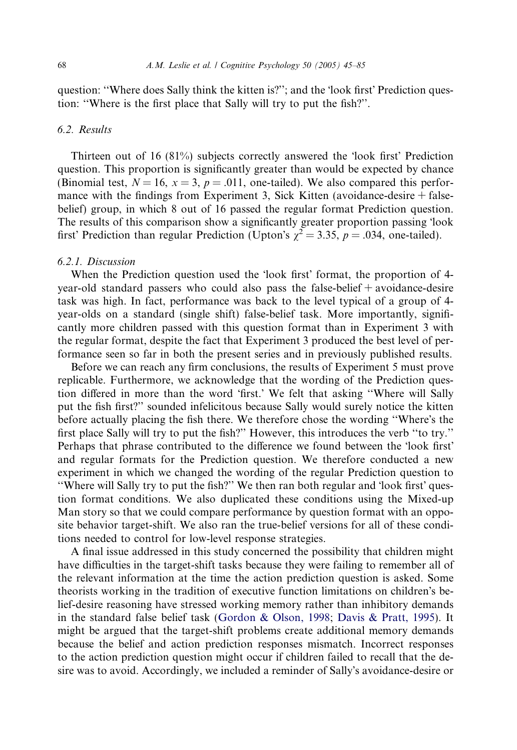question: "Where does Sally think the kitten is?"; and the 'look first' Prediction question: ''Where is the first place that Sally will try to put the fish?''.

# 6.2. Results

Thirteen out of 16 (81%) subjects correctly answered the 'look first' Prediction question. This proportion is significantly greater than would be expected by chance (Binomial test,  $N = 16$ ,  $x = 3$ ,  $p = .011$ , one-tailed). We also compared this performance with the findings from Experiment 3, Sick Kitten (avoidance-desire  $+$  falsebelief) group, in which 8 out of 16 passed the regular format Prediction question. The results of this comparison show a significantly greater proportion passing 'look first' Prediction than regular Prediction (Upton's  $\gamma^2 = 3.35$ ,  $p = .034$ , one-tailed).

#### 6.2.1. Discussion

When the Prediction question used the 'look first' format, the proportion of 4year-old standard passers who could also pass the false-belief + avoidance-desire task was high. In fact, performance was back to the level typical of a group of 4 year-olds on a standard (single shift) false-belief task. More importantly, significantly more children passed with this question format than in Experiment 3 with the regular format, despite the fact that Experiment 3 produced the best level of performance seen so far in both the present series and in previously published results.

Before we can reach any firm conclusions, the results of Experiment 5 must prove replicable. Furthermore, we acknowledge that the wording of the Prediction question differed in more than the word 'first.' We felt that asking "Where will Sally put the fish first?'' sounded infelicitous because Sally would surely notice the kitten before actually placing the fish there. We therefore chose the wording "Where's the first place Sally will try to put the fish?'' However, this introduces the verb ''to try.'' Perhaps that phrase contributed to the difference we found between the 'look first' and regular formats for the Prediction question. We therefore conducted a new experiment in which we changed the wording of the regular Prediction question to "Where will Sally try to put the fish?" We then ran both regular and 'look first' question format conditions. We also duplicated these conditions using the Mixed-up Man story so that we could compare performance by question format with an opposite behavior target-shift. We also ran the true-belief versions for all of these conditions needed to control for low-level response strategies.

A final issue addressed in this study concerned the possibility that children might have difficulties in the target-shift tasks because they were failing to remember all of the relevant information at the time the action prediction question is asked. Some theorists working in the tradition of executive function limitations on children's belief-desire reasoning have stressed working memory rather than inhibitory demands in the standard false belief task ([Gordon & Olson, 1998;](#page-39-0) [Davis & Pratt, 1995\)](#page-38-0). It might be argued that the target-shift problems create additional memory demands because the belief and action prediction responses mismatch. Incorrect responses to the action prediction question might occur if children failed to recall that the desire was to avoid. Accordingly, we included a reminder of Sally's avoidance-desire or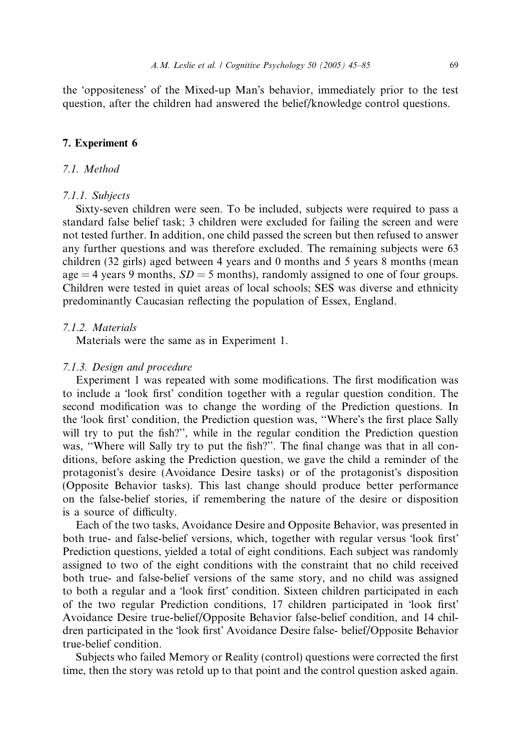the 'oppositeness' of the Mixed-up Man's behavior, immediately prior to the test question, after the children had answered the belief/knowledge control questions.

# 7. Experiment 6

# 7.1. Method

#### 7.1.1. Subjects

Sixty-seven children were seen. To be included, subjects were required to pass a standard false belief task; 3 children were excluded for failing the screen and were not tested further. In addition, one child passed the screen but then refused to answer any further questions and was therefore excluded. The remaining subjects were 63 children (32 girls) aged between 4 years and 0 months and 5 years 8 months (mean age  $=$  4 years 9 months,  $SD = 5$  months), randomly assigned to one of four groups. Children were tested in quiet areas of local schools; SES was diverse and ethnicity predominantly Caucasian reflecting the population of Essex, England.

# 7.1.2. Materials

Materials were the same as in Experiment 1.

#### 7.1.3. Design and procedure

Experiment 1 was repeated with some modifications. The first modification was to include a 'look first' condition together with a regular question condition. The second modification was to change the wording of the Prediction questions. In the 'look first' condition, the Prediction question was, "Where's the first place Sally will try to put the fish?'', while in the regular condition the Prediction question was, ''Where will Sally try to put the fish?''. The final change was that in all conditions, before asking the Prediction question, we gave the child a reminder of the protagonist's desire (Avoidance Desire tasks) or of the protagonist's disposition (Opposite Behavior tasks). This last change should produce better performance on the false-belief stories, if remembering the nature of the desire or disposition is a source of difficulty.

Each of the two tasks, Avoidance Desire and Opposite Behavior, was presented in both true- and false-belief versions, which, together with regular versus 'look first' Prediction questions, yielded a total of eight conditions. Each subject was randomly assigned to two of the eight conditions with the constraint that no child received both true- and false-belief versions of the same story, and no child was assigned to both a regular and a 'look first' condition. Sixteen children participated in each of the two regular Prediction conditions, 17 children participated in 'look first' Avoidance Desire true-belief/Opposite Behavior false-belief condition, and 14 children participated in the 'look first' Avoidance Desire false-belief/Opposite Behavior true-belief condition.

Subjects who failed Memory or Reality (control) questions were corrected the first time, then the story was retold up to that point and the control question asked again.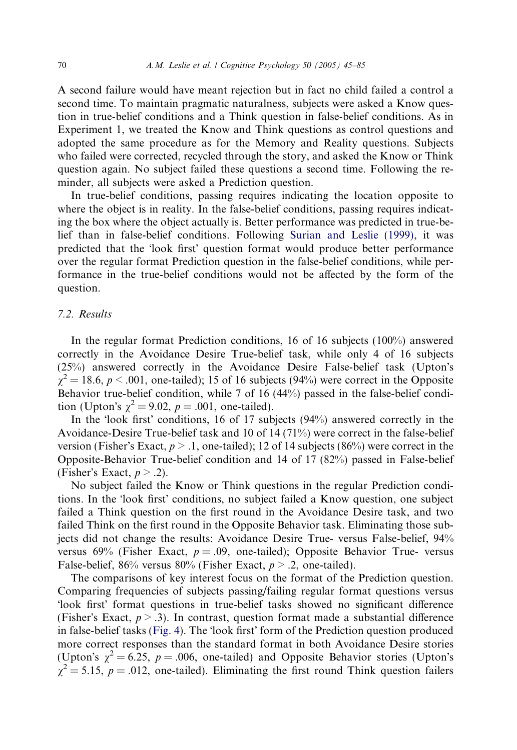A second failure would have meant rejection but in fact no child failed a control a second time. To maintain pragmatic naturalness, subjects were asked a Know question in true-belief conditions and a Think question in false-belief conditions. As in Experiment 1, we treated the Know and Think questions as control questions and adopted the same procedure as for the Memory and Reality questions. Subjects who failed were corrected, recycled through the story, and asked the Know or Think question again. No subject failed these questions a second time. Following the reminder, all subjects were asked a Prediction question.

In true-belief conditions, passing requires indicating the location opposite to where the object is in reality. In the false-belief conditions, passing requires indicating the box where the object actually is. Better performance was predicted in true-belief than in false-belief conditions. Following [Surian and Leslie \(1999\),](#page-40-0) it was predicted that the 'look first' question format would produce better performance over the regular format Prediction question in the false-belief conditions, while performance in the true-belief conditions would not be affected by the form of the question.

# 7.2. Results

In the regular format Prediction conditions, 16 of 16 subjects (100%) answered correctly in the Avoidance Desire True-belief task, while only 4 of 16 subjects  $(25%)$  answered correctly in the Avoidance Desire False-belief task (Upton's  $\chi^2 = 18.6$ ,  $p < .001$ , one-tailed); 15 of 16 subjects (94%) were correct in the Opposite Behavior true-belief condition, while 7 of 16 (44%) passed in the false-belief condition (Upton's  $\chi^2 = 9.02$ ,  $p = .001$ , one-tailed).

In the 'look first' conditions, 16 of 17 subjects (94%) answered correctly in the Avoidance-Desire True-belief task and 10 of 14 (71%) were correct in the false-belief version (Fisher's Exact,  $p > 1$ , one-tailed); 12 of 14 subjects (86%) were correct in the Opposite-Behavior True-belief condition and 14 of 17 (82%) passed in False-belief (Fisher's Exact,  $p > .2$ ).

No subject failed the Know or Think questions in the regular Prediction conditions. In the 'look first' conditions, no subject failed a Know question, one subject failed a Think question on the first round in the Avoidance Desire task, and two failed Think on the first round in the Opposite Behavior task. Eliminating those subjects did not change the results: Avoidance Desire True- versus False-belief, 94% versus 69% (Fisher Exact,  $p = .09$ , one-tailed); Opposite Behavior True- versus False-belief, 86% versus 80% (Fisher Exact,  $p > 0.2$ , one-tailed).

The comparisons of key interest focus on the format of the Prediction question. Comparing frequencies of subjects passing/failing regular format questions versus look first' format questions in true-belief tasks showed no significant difference (Fisher's Exact,  $p > .3$ ). In contrast, question format made a substantial difference in false-belief tasks [\(Fig. 4\)](#page-26-0). The 'look first' form of the Prediction question produced more correct responses than the standard format in both Avoidance Desire stories (Upton's  $\chi^2 = 6.25$ ,  $p = .006$ , one-tailed) and Opposite Behavior stories (Upton's  $\chi^2 = 5.15$ ,  $p = .012$ , one-tailed). Eliminating the first round Think question failers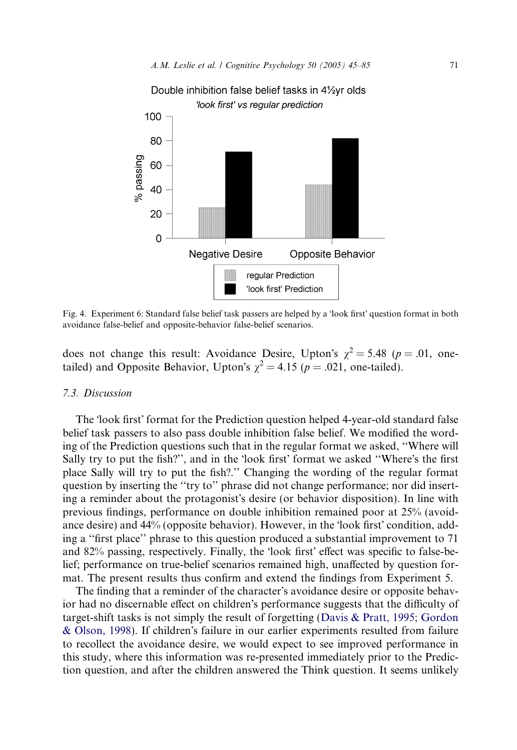<span id="page-26-0"></span>

Fig. 4. Experiment 6: Standard false belief task passers are helped by a 'look first' question format in both avoidance false-belief and opposite-behavior false-belief scenarios.

does not change this result: Avoidance Desire, Upton's  $\gamma^2 = 5.48$  ( $p = .01$ , onetailed) and Opposite Behavior, Upton's  $\gamma^2 = 4.15$  ( $p = .021$ , one-tailed).

#### 7.3. Discussion

The 'look first' format for the Prediction question helped 4-year-old standard false belief task passers to also pass double inhibition false belief. We modified the wording of the Prediction questions such that in the regular format we asked, ''Where will Sally try to put the fish?", and in the 'look first' format we asked "Where's the first place Sally will try to put the fish?.'' Changing the wording of the regular format question by inserting the ''try to'' phrase did not change performance; nor did inserting a reminder about the protagonist's desire (or behavior disposition). In line with previous findings, performance on double inhibition remained poor at 25% (avoidance desire) and 44% (opposite behavior). However, in the 'look first' condition, adding a ''first place'' phrase to this question produced a substantial improvement to 71 and 82% passing, respectively. Finally, the 'look first' effect was specific to false-belief; performance on true-belief scenarios remained high, unaffected by question format. The present results thus confirm and extend the findings from Experiment 5.

The finding that a reminder of the character's avoidance desire or opposite behavior had no discernable effect on children's performance suggests that the difficulty of target-shift tasks is not simply the result of forgetting [\(Davis & Pratt, 1995;](#page-38-0) [Gordon](#page-39-0)  $& Olson, 1998$ . If children's failure in our earlier experiments resulted from failure to recollect the avoidance desire, we would expect to see improved performance in this study, where this information was re-presented immediately prior to the Prediction question, and after the children answered the Think question. It seems unlikely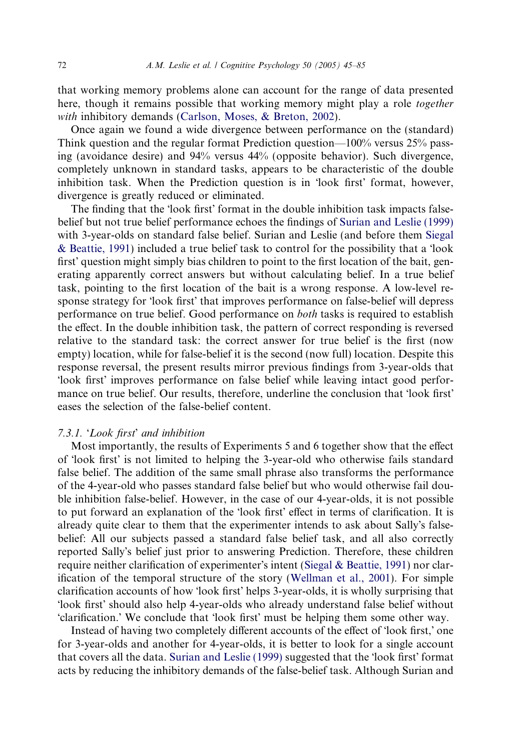that working memory problems alone can account for the range of data presented here, though it remains possible that working memory might play a role *together* with inhibitory demands [\(Carlson, Moses, & Breton, 2002\)](#page-38-0).

Once again we found a wide divergence between performance on the (standard) Think question and the regular format Prediction question—100% versus 25% passing (avoidance desire) and 94% versus 44% (opposite behavior). Such divergence, completely unknown in standard tasks, appears to be characteristic of the double inhibition task. When the Prediction question is in 'look first' format, however, divergence is greatly reduced or eliminated.

The finding that the 'look first' format in the double inhibition task impacts falsebelief but not true belief performance echoes the findings of [Surian and Leslie \(1999\)](#page-40-0) with 3-year-olds on standard false belief. Surian and Leslie (and before them [Siegal](#page-40-0)  $\&$  Beattie, 1991) included a true belief task to control for the possibility that a 'look first' question might simply bias children to point to the first location of the bait, generating apparently correct answers but without calculating belief. In a true belief task, pointing to the first location of the bait is a wrong response. A low-level response strategy for 'look first' that improves performance on false-belief will depress performance on true belief. Good performance on both tasks is required to establish the effect. In the double inhibition task, the pattern of correct responding is reversed relative to the standard task: the correct answer for true belief is the first (now empty) location, while for false-belief it is the second (now full) location. Despite this response reversal, the present results mirror previous findings from 3-year-olds that look first' improves performance on false belief while leaving intact good performance on true belief. Our results, therefore, underline the conclusion that 'look first' eases the selection of the false-belief content.

#### 7.3.1. 'Look first' and inhibition

Most importantly, the results of Experiments 5 and 6 together show that the effect of 'look first' is not limited to helping the 3-year-old who otherwise fails standard false belief. The addition of the same small phrase also transforms the performance of the 4-year-old who passes standard false belief but who would otherwise fail double inhibition false-belief. However, in the case of our 4-year-olds, it is not possible to put forward an explanation of the 'look first' effect in terms of clarification. It is already quite clear to them that the experimenter intends to ask about Sally's falsebelief: All our subjects passed a standard false belief task, and all also correctly reported Sally's belief just prior to answering Prediction. Therefore, these children require neither clarification of experimenter's intent (Siegal  $\&$  Beattie, 1991) nor clarification of the temporal structure of the story [\(Wellman et al., 2001\)](#page-40-0). For simple clarification accounts of how -look first helps 3-year-olds, it is wholly surprising that look first' should also help 4-year-olds who already understand false belief without -clarification. We conclude that -look first must be helping them some other way.

Instead of having two completely different accounts of the effect of 'look first,' one for 3-year-olds and another for 4-year-olds, it is better to look for a single account that covers all the data. [Surian and Leslie \(1999\)](#page-40-0) suggested that the 'look first' format acts by reducing the inhibitory demands of the false-belief task. Although Surian and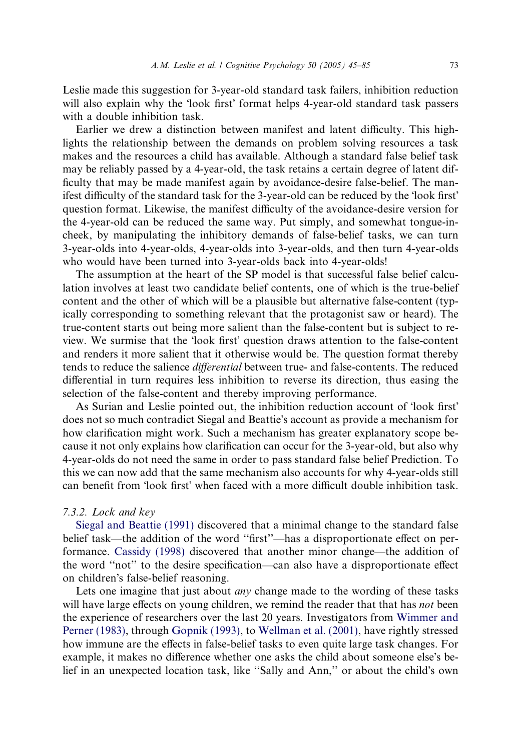Leslie made this suggestion for 3-year-old standard task failers, inhibition reduction will also explain why the 'look first' format helps 4-year-old standard task passers with a double inhibition task.

Earlier we drew a distinction between manifest and latent difficulty. This highlights the relationship between the demands on problem solving resources a task makes and the resources a child has available. Although a standard false belief task may be reliably passed by a 4-year-old, the task retains a certain degree of latent difficulty that may be made manifest again by avoidance-desire false-belief. The manifest difficulty of the standard task for the 3-year-old can be reduced by the 'look first' question format. Likewise, the manifest difficulty of the avoidance-desire version for the 4-year-old can be reduced the same way. Put simply, and somewhat tongue-incheek, by manipulating the inhibitory demands of false-belief tasks, we can turn 3-year-olds into 4-year-olds, 4-year-olds into 3-year-olds, and then turn 4-year-olds who would have been turned into 3-year-olds back into 4-year-olds!

The assumption at the heart of the SP model is that successful false belief calculation involves at least two candidate belief contents, one of which is the true-belief content and the other of which will be a plausible but alternative false-content (typically corresponding to something relevant that the protagonist saw or heard). The true-content starts out being more salient than the false-content but is subject to review. We surmise that the 'look first' question draws attention to the false-content and renders it more salient that it otherwise would be. The question format thereby tends to reduce the salience differential between true- and false-contents. The reduced differential in turn requires less inhibition to reverse its direction, thus easing the selection of the false-content and thereby improving performance.

As Surian and Leslie pointed out, the inhibition reduction account of 'look first' does not so much contradict Siegal and Beattie's account as provide a mechanism for how clarification might work. Such a mechanism has greater explanatory scope because it not only explains how clarification can occur for the 3-year-old, but also why 4-year-olds do not need the same in order to pass standard false belief Prediction. To this we can now add that the same mechanism also accounts for why 4-year-olds still can benefit from 'look first' when faced with a more difficult double inhibition task.

#### 7.3.2. Lock and key

[Siegal and Beattie \(1991\)](#page-40-0) discovered that a minimal change to the standard false belief task—the addition of the word ''first''—has a disproportionate effect on performance. [Cassidy \(1998\)](#page-38-0) discovered that another minor change—the addition of the word ''not'' to the desire specification—can also have a disproportionate effect on children's false-belief reasoning.

Lets one imagine that just about *any* change made to the wording of these tasks will have large effects on young children, we remind the reader that that has *not* been the experience of researchers over the last 20 years. Investigators from [Wimmer and](#page-40-0) [Perner \(1983\),](#page-40-0) through [Gopnik \(1993\),](#page-39-0) to [Wellman et al. \(2001\)](#page-40-0), have rightly stressed how immune are the effects in false-belief tasks to even quite large task changes. For example, it makes no difference whether one asks the child about someone else's belief in an unexpected location task, like "Sally and Ann," or about the child's own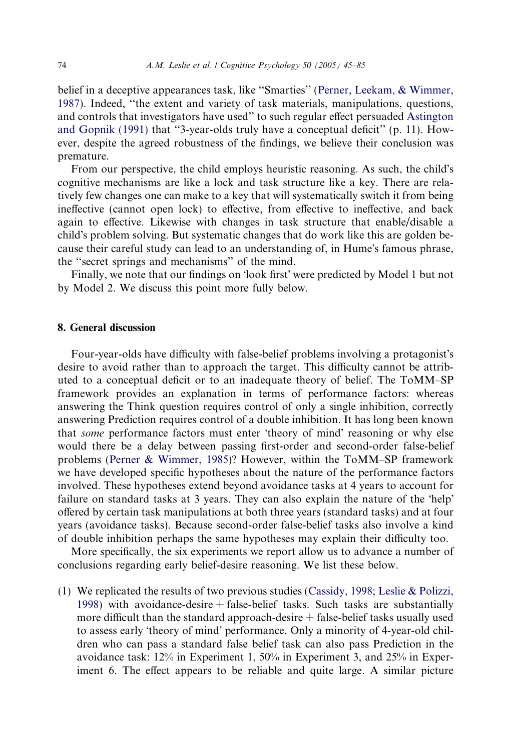belief in a deceptive appearances task, like ''Smarties'' ([Perner, Leekam, & Wimmer,](#page-40-0) [1987](#page-40-0)). Indeed, ''the extent and variety of task materials, manipulations, questions, and controls that investigators have used'' to such regular effect persuaded [Astington](#page-38-0) [and Gopnik \(1991\)](#page-38-0) that ''3-year-olds truly have a conceptual deficit'' (p. 11). However, despite the agreed robustness of the findings, we believe their conclusion was premature.

From our perspective, the child employs heuristic reasoning. As such, the child's cognitive mechanisms are like a lock and task structure like a key. There are relatively few changes one can make to a key that will systematically switch it from being ineffective (cannot open lock) to effective, from effective to ineffective, and back again to effective. Likewise with changes in task structure that enable/disable a child's problem solving. But systematic changes that do work like this are golden because their careful study can lead to an understanding of, in Hume's famous phrase, the ''secret springs and mechanisms'' of the mind.

Finally, we note that our findings on 'look first' were predicted by Model 1 but not by Model 2. We discuss this point more fully below.

# 8. General discussion

Four-year-olds have difficulty with false-belief problems involving a protagonist's desire to avoid rather than to approach the target. This difficulty cannot be attributed to a conceptual deficit or to an inadequate theory of belief. The ToMM–SP framework provides an explanation in terms of performance factors: whereas answering the Think question requires control of only a single inhibition, correctly answering Prediction requires control of a double inhibition. It has long been known that some performance factors must enter 'theory of mind' reasoning or why else would there be a delay between passing first-order and second-order false-belief problems [\(Perner & Wimmer, 1985\)](#page-40-0)? However, within the ToMM–SP framework we have developed specific hypotheses about the nature of the performance factors involved. These hypotheses extend beyond avoidance tasks at 4 years to account for failure on standard tasks at 3 years. They can also explain the nature of the 'help' offered by certain task manipulations at both three years (standard tasks) and at four years (avoidance tasks). Because second-order false-belief tasks also involve a kind of double inhibition perhaps the same hypotheses may explain their difficulty too.

More specifically, the six experiments we report allow us to advance a number of conclusions regarding early belief-desire reasoning. We list these below.

(1) We replicated the results of two previous studies [\(Cassidy, 1998](#page-38-0); [Leslie & Polizzi,](#page-39-0) [1998\)](#page-39-0) with avoidance-desire + false-belief tasks. Such tasks are substantially more difficult than the standard approach-desire  $+$  false-belief tasks usually used to assess early 'theory of mind' performance. Only a minority of 4-year-old children who can pass a standard false belief task can also pass Prediction in the avoidance task: 12% in Experiment 1, 50% in Experiment 3, and 25% in Experiment 6. The effect appears to be reliable and quite large. A similar picture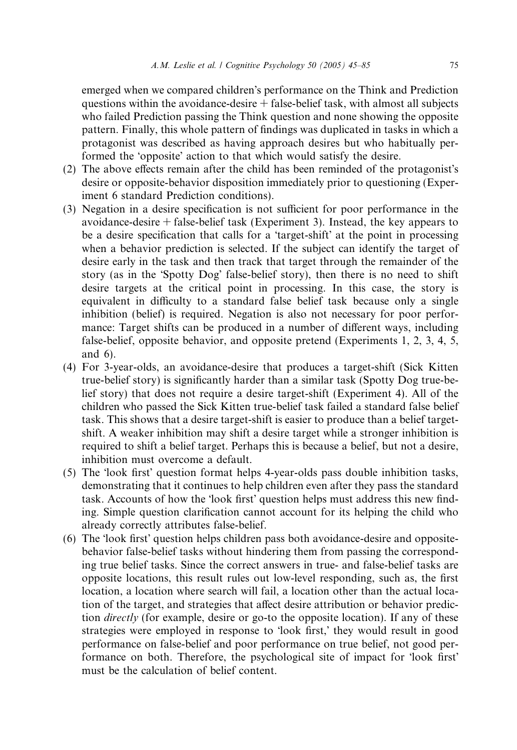emerged when we compared children's performance on the Think and Prediction questions within the avoidance-desire  $+$  false-belief task, with almost all subjects who failed Prediction passing the Think question and none showing the opposite pattern. Finally, this whole pattern of findings was duplicated in tasks in which a protagonist was described as having approach desires but who habitually performed the 'opposite' action to that which would satisfy the desire.

- (2) The above effects remain after the child has been reminded of the protagonists desire or opposite-behavior disposition immediately prior to questioning (Experiment 6 standard Prediction conditions).
- (3) Negation in a desire specification is not sufficient for poor performance in the avoidance-desire + false-belief task (Experiment 3). Instead, the key appears to be a desire specification that calls for a 'target-shift' at the point in processing when a behavior prediction is selected. If the subject can identify the target of desire early in the task and then track that target through the remainder of the story (as in the 'Spotty Dog' false-belief story), then there is no need to shift desire targets at the critical point in processing. In this case, the story is equivalent in difficulty to a standard false belief task because only a single inhibition (belief) is required. Negation is also not necessary for poor performance: Target shifts can be produced in a number of different ways, including false-belief, opposite behavior, and opposite pretend (Experiments 1, 2, 3, 4, 5, and 6).
- (4) For 3-year-olds, an avoidance-desire that produces a target-shift (Sick Kitten true-belief story) is significantly harder than a similar task (Spotty Dog true-belief story) that does not require a desire target-shift (Experiment 4). All of the children who passed the Sick Kitten true-belief task failed a standard false belief task. This shows that a desire target-shift is easier to produce than a belief targetshift. A weaker inhibition may shift a desire target while a stronger inhibition is required to shift a belief target. Perhaps this is because a belief, but not a desire, inhibition must overcome a default.
- (5) The -look first question format helps 4-year-olds pass double inhibition tasks, demonstrating that it continues to help children even after they pass the standard task. Accounts of how the 'look first' question helps must address this new finding. Simple question clarification cannot account for its helping the child who already correctly attributes false-belief.
- (6) The 'look first' question helps children pass both avoidance-desire and oppositebehavior false-belief tasks without hindering them from passing the corresponding true belief tasks. Since the correct answers in true- and false-belief tasks are opposite locations, this result rules out low-level responding, such as, the first location, a location where search will fail, a location other than the actual location of the target, and strategies that affect desire attribution or behavior prediction directly (for example, desire or go-to the opposite location). If any of these strategies were employed in response to 'look first,' they would result in good performance on false-belief and poor performance on true belief, not good performance on both. Therefore, the psychological site of impact for 'look first' must be the calculation of belief content.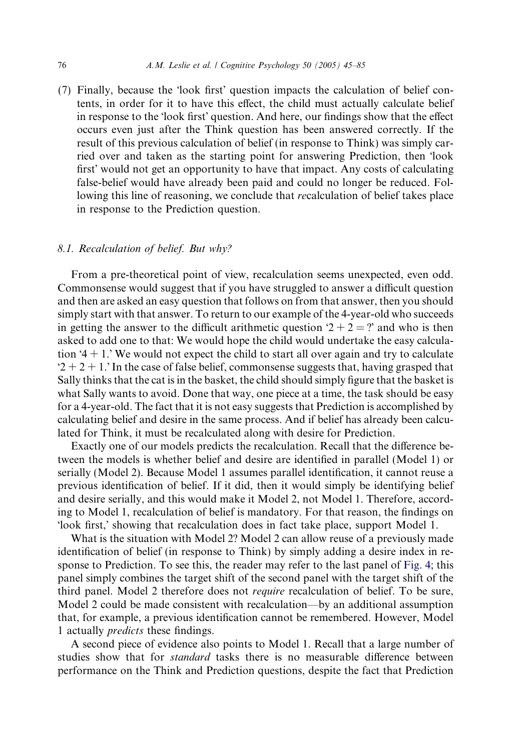(7) Finally, because the -look first question impacts the calculation of belief contents, in order for it to have this effect, the child must actually calculate belief in response to the 'look first' question. And here, our findings show that the effect occurs even just after the Think question has been answered correctly. If the result of this previous calculation of belief (in response to Think) was simply carried over and taken as the starting point for answering Prediction, then -look first' would not get an opportunity to have that impact. Any costs of calculating false-belief would have already been paid and could no longer be reduced. Following this line of reasoning, we conclude that recalculation of belief takes place in response to the Prediction question.

#### 8.1. Recalculation of belief. But why?

From a pre-theoretical point of view, recalculation seems unexpected, even odd. Commonsense would suggest that if you have struggled to answer a difficult question and then are asked an easy question that follows on from that answer, then you should simply start with that answer. To return to our example of the 4-year-old who succeeds in getting the answer to the difficult arithmetic question  $2 + 2 = ?$  and who is then asked to add one to that: We would hope the child would undertake the easy calculation  $4 + 1$ . We would not expect the child to start all over again and try to calculate  $2 + 2 + 1$ . In the case of false belief, commonsense suggests that, having grasped that Sally thinks that the cat is in the basket, the child should simply figure that the basket is what Sally wants to avoid. Done that way, one piece at a time, the task should be easy for a 4-year-old. The fact that it is not easy suggests that Prediction is accomplished by calculating belief and desire in the same process. And if belief has already been calculated for Think, it must be recalculated along with desire for Prediction.

Exactly one of our models predicts the recalculation. Recall that the difference between the models is whether belief and desire are identified in parallel (Model 1) or serially (Model 2). Because Model 1 assumes parallel identification, it cannot reuse a previous identification of belief. If it did, then it would simply be identifying belief and desire serially, and this would make it Model 2, not Model 1. Therefore, according to Model 1, recalculation of belief is mandatory. For that reason, the findings on look first,' showing that recalculation does in fact take place, support Model 1.

What is the situation with Model 2? Model 2 can allow reuse of a previously made identification of belief (in response to Think) by simply adding a desire index in response to Prediction. To see this, the reader may refer to the last panel of [Fig. 4](#page-26-0); this panel simply combines the target shift of the second panel with the target shift of the third panel. Model 2 therefore does not require recalculation of belief. To be sure, Model 2 could be made consistent with recalculation—by an additional assumption that, for example, a previous identification cannot be remembered. However, Model 1 actually *predicts* these findings.

A second piece of evidence also points to Model 1. Recall that a large number of studies show that for *standard* tasks there is no measurable difference between performance on the Think and Prediction questions, despite the fact that Prediction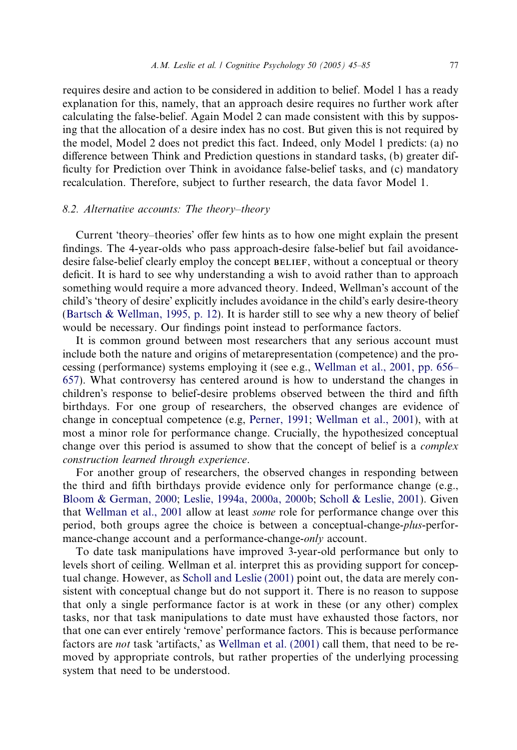requires desire and action to be considered in addition to belief. Model 1 has a ready explanation for this, namely, that an approach desire requires no further work after calculating the false-belief. Again Model 2 can made consistent with this by supposing that the allocation of a desire index has no cost. But given this is not required by the model, Model 2 does not predict this fact. Indeed, only Model 1 predicts: (a) no difference between Think and Prediction questions in standard tasks, (b) greater difficulty for Prediction over Think in avoidance false-belief tasks, and (c) mandatory recalculation. Therefore, subject to further research, the data favor Model 1.

# 8.2. Alternative accounts: The theory–theory

Current 'theory–theories' offer few hints as to how one might explain the present findings. The 4-year-olds who pass approach-desire false-belief but fail avoidancedesire false-belief clearly employ the concept BELIEF, without a conceptual or theory deficit. It is hard to see why understanding a wish to avoid rather than to approach something would require a more advanced theory. Indeed, Wellman's account of the child's 'theory of desire' explicitly includes avoidance in the child's early desire-theory [\(Bartsch & Wellman, 1995, p. 12\)](#page-38-0). It is harder still to see why a new theory of belief would be necessary. Our findings point instead to performance factors.

It is common ground between most researchers that any serious account must include both the nature and origins of metarepresentation (competence) and the processing (performance) systems employing it (see e.g., [Wellman et al., 2001, pp. 656–](#page-40-0) [657\)](#page-40-0). What controversy has centered around is how to understand the changes in children's response to belief-desire problems observed between the third and fifth birthdays. For one group of researchers, the observed changes are evidence of change in conceptual competence (e.g, [Perner, 1991;](#page-40-0) [Wellman et al., 2001](#page-40-0)), with at most a minor role for performance change. Crucially, the hypothesized conceptual change over this period is assumed to show that the concept of belief is a *complex* construction learned through experience.

For another group of researchers, the observed changes in responding between the third and fifth birthdays provide evidence only for performance change (e.g., [Bloom & German, 2000](#page-38-0); [Leslie, 1994a, 2000a, 2000b;](#page-39-0) [Scholl & Leslie, 2001](#page-40-0)). Given that [Wellman et al., 2001](#page-40-0) allow at least some role for performance change over this period, both groups agree the choice is between a conceptual-change-plus-performance-change account and a performance-change-*only* account.

To date task manipulations have improved 3-year-old performance but only to levels short of ceiling. Wellman et al. interpret this as providing support for conceptual change. However, as [Scholl and Leslie \(2001\)](#page-40-0) point out, the data are merely consistent with conceptual change but do not support it. There is no reason to suppose that only a single performance factor is at work in these (or any other) complex tasks, nor that task manipulations to date must have exhausted those factors, nor that one can ever entirely 'remove' performance factors. This is because performance factors are *not* task 'artifacts,' as [Wellman et al. \(2001\)](#page-40-0) call them, that need to be removed by appropriate controls, but rather properties of the underlying processing system that need to be understood.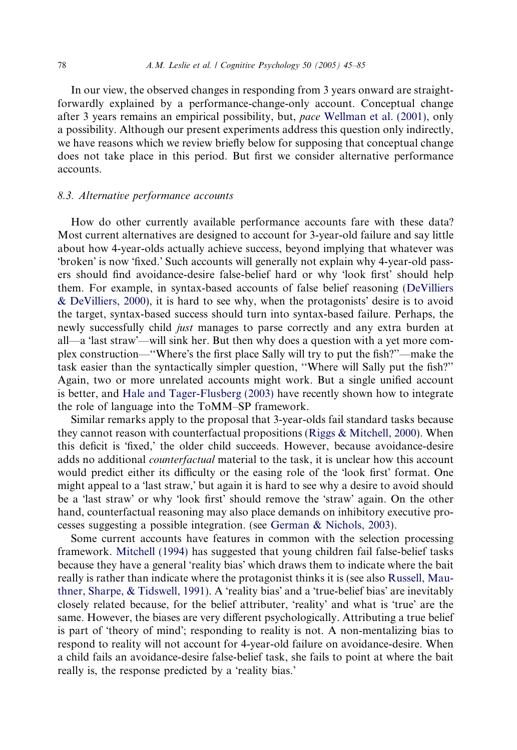In our view, the observed changes in responding from 3 years onward are straightforwardly explained by a performance-change-only account. Conceptual change after 3 years remains an empirical possibility, but, pace [Wellman et al. \(2001\)](#page-40-0), only a possibility. Although our present experiments address this question only indirectly, we have reasons which we review briefly below for supposing that conceptual change does not take place in this period. But first we consider alternative performance accounts.

#### 8.3. Alternative performance accounts

How do other currently available performance accounts fare with these data? Most current alternatives are designed to account for 3-year-old failure and say little about how 4-year-olds actually achieve success, beyond implying that whatever was 'broken' is now 'fixed.' Such accounts will generally not explain why 4-year-old passers should find avoidance-desire false-belief hard or why 'look first' should help them. For example, in syntax-based accounts of false belief reasoning [\(DeVilliers](#page-38-0)  $\&$  DeVilliers, 2000), it is hard to see why, when the protagonists' desire is to avoid the target, syntax-based success should turn into syntax-based failure. Perhaps, the newly successfully child just manages to parse correctly and any extra burden at all—a 'last straw'—will sink her. But then why does a question with a yet more complex construction—''Wheres the first place Sally will try to put the fish?''—make the task easier than the syntactically simpler question, ''Where will Sally put the fish?'' Again, two or more unrelated accounts might work. But a single unified account is better, and [Hale and Tager-Flusberg \(2003\)](#page-39-0) have recently shown how to integrate the role of language into the ToMM–SP framework.

Similar remarks apply to the proposal that 3-year-olds fail standard tasks because they cannot reason with counterfactual propositions ([Riggs & Mitchell, 2000](#page-40-0)). When this deficit is 'fixed,' the older child succeeds. However, because avoidance-desire adds no additional counterfactual material to the task, it is unclear how this account would predict either its difficulty or the easing role of the 'look first' format. One might appeal to a 'last straw,' but again it is hard to see why a desire to avoid should be a 'last straw' or why 'look first' should remove the 'straw' again. On the other hand, counterfactual reasoning may also place demands on inhibitory executive processes suggesting a possible integration. (see [German & Nichols, 2003\)](#page-39-0).

Some current accounts have features in common with the selection processing framework. [Mitchell \(1994\)](#page-39-0) has suggested that young children fail false-belief tasks because they have a general 'reality bias' which draws them to indicate where the bait really is rather than indicate where the protagonist thinks it is (see also [Russell, Mau](#page-40-0)thner, Sharpe,  $\&$  Tidswell, 1991). A 'reality bias' and a 'true-belief bias' are inevitably closely related because, for the belief attributer, 'reality' and what is 'true' are the same. However, the biases are very different psychologically. Attributing a true belief is part of 'theory of mind'; responding to reality is not. A non-mentalizing bias to respond to reality will not account for 4-year-old failure on avoidance-desire. When a child fails an avoidance-desire false-belief task, she fails to point at where the bait really is, the response predicted by a 'reality bias.'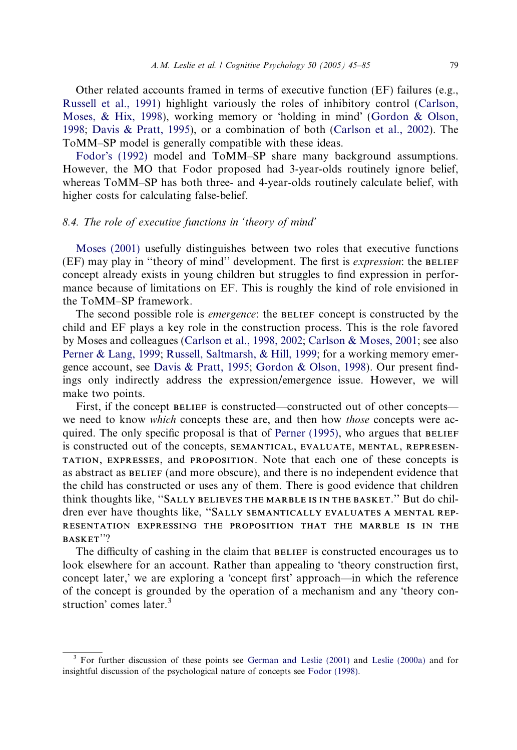Other related accounts framed in terms of executive function (EF) failures (e.g., [Russell et al., 1991](#page-40-0)) highlight variously the roles of inhibitory control [\(Carlson,](#page-38-0) [Moses, & Hix, 1998](#page-38-0)), working memory or 'holding in mind' [\(Gordon & Olson,](#page-39-0) [1998;](#page-39-0) [Davis & Pratt, 1995](#page-38-0)), or a combination of both [\(Carlson et al., 2002\)](#page-38-0). The ToMM–SP model is generally compatible with these ideas.

Fodor'[s \(1992\)](#page-38-0) model and ToMM-SP share many background assumptions. However, the MO that Fodor proposed had 3-year-olds routinely ignore belief, whereas ToMM–SP has both three- and 4-year-olds routinely calculate belief, with higher costs for calculating false-belief.

# 8.4. The role of executive functions in 'theory of mind'

[Moses \(2001\)](#page-40-0) usefully distinguishes between two roles that executive functions (EF) may play in "theory of mind" development. The first is *expression*: the BELIEF concept already exists in young children but struggles to find expression in performance because of limitations on EF. This is roughly the kind of role envisioned in the ToMM–SP framework.

The second possible role is *emergence*: the BELIEF concept is constructed by the child and EF plays a key role in the construction process. This is the role favored by Moses and colleagues [\(Carlson et al., 1998, 2002](#page-38-0); [Carlson & Moses, 2001](#page-38-0); see also [Perner & Lang, 1999](#page-40-0); [Russell, Saltmarsh, & Hill, 1999](#page-40-0); for a working memory emergence account, see [Davis & Pratt, 1995;](#page-38-0) [Gordon & Olson, 1998\)](#page-39-0). Our present findings only indirectly address the expression/emergence issue. However, we will make two points.

First, if the concept BELIEF is constructed—constructed out of other concepts we need to know *which* concepts these are, and then how *those* concepts were acquired. The only specific proposal is that of [Perner \(1995\),](#page-40-0) who argues that BELIEF is constructed out of the concepts, SEMANTICAL, EVALUATE, MENTAL, REPRESEN-TATION, EXPRESSES, and PROPOSITION. Note that each one of these concepts is as abstract as BELIEF (and more obscure), and there is no independent evidence that the child has constructed or uses any of them. There is good evidence that children think thoughts like, "SALLY BELIEVES THE MARBLE IS IN THE BASKET." But do children ever have thoughts like, "SALLY SEMANTICALLY EVALUATES A MENTAL REP-RESENTATION EXPRESSING THE PROPOSITION THAT THE MARBLE IS IN THE BASKET''?

The difficulty of cashing in the claim that BELIEF is constructed encourages us to look elsewhere for an account. Rather than appealing to 'theory construction first, concept later,' we are exploring a 'concept first' approach—in which the reference of the concept is grounded by the operation of a mechanism and any 'theory construction' comes later. $3$ 

 $3$  For further discussion of these points see [German and Leslie \(2001\)](#page-39-0) and [Leslie \(2000a\)](#page-39-0) and for insightful discussion of the psychological nature of concepts see [Fodor \(1998\)](#page-38-0).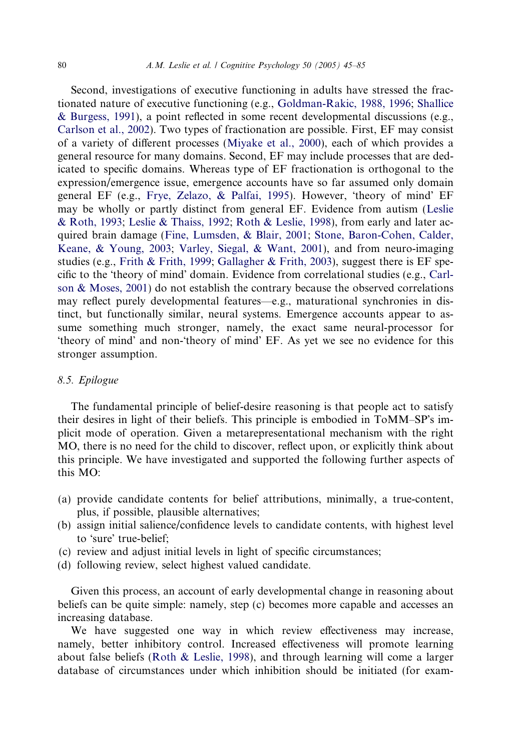Second, investigations of executive functioning in adults have stressed the fractionated nature of executive functioning (e.g., [Goldman-Rakic, 1988, 1996](#page-39-0); [Shallice](#page-40-0) [& Burgess, 1991\)](#page-40-0), a point reflected in some recent developmental discussions (e.g., [Carlson et al., 2002\)](#page-38-0). Two types of fractionation are possible. First, EF may consist of a variety of different processes ([Miyake et al., 2000\)](#page-39-0), each of which provides a general resource for many domains. Second, EF may include processes that are dedicated to specific domains. Whereas type of EF fractionation is orthogonal to the expression/emergence issue, emergence accounts have so far assumed only domain general EF (e.g., [Frye, Zelazo, & Palfai, 1995](#page-38-0)). However, 'theory of mind' EF may be wholly or partly distinct from general EF. Evidence from autism [\(Leslie](#page-39-0) [& Roth, 1993;](#page-39-0) [Leslie & Thaiss, 1992](#page-39-0); [Roth & Leslie, 1998\)](#page-40-0), from early and later acquired brain damage [\(Fine, Lumsden, & Blair, 2001;](#page-38-0) [Stone, Baron-Cohen, Calder,](#page-40-0) [Keane, & Young, 2003](#page-40-0); [Varley, Siegal, & Want, 2001\)](#page-40-0), and from neuro-imaging studies (e.g., [Frith & Frith, 1999](#page-38-0); [Gallagher & Frith, 2003\)](#page-38-0), suggest there is EF spe-cific to the 'theory of mind' domain. Evidence from correlational studies (e.g., [Carl](#page-38-0)[son & Moses, 2001\)](#page-38-0) do not establish the contrary because the observed correlations may reflect purely developmental features—e.g., maturational synchronies in distinct, but functionally similar, neural systems. Emergence accounts appear to assume something much stronger, namely, the exact same neural-processor for theory of mind' and non-theory of mind' EF. As yet we see no evidence for this stronger assumption.

#### 8.5. Epilogue

The fundamental principle of belief-desire reasoning is that people act to satisfy their desires in light of their beliefs. This principle is embodied in ToMM–SPs implicit mode of operation. Given a metarepresentational mechanism with the right MO, there is no need for the child to discover, reflect upon, or explicitly think about this principle. We have investigated and supported the following further aspects of this MO:

- (a) provide candidate contents for belief attributions, minimally, a true-content, plus, if possible, plausible alternatives;
- (b) assign initial salience/confidence levels to candidate contents, with highest level to 'sure' true-belief;
- (c) review and adjust initial levels in light of specific circumstances;
- (d) following review, select highest valued candidate.

Given this process, an account of early developmental change in reasoning about beliefs can be quite simple: namely, step (c) becomes more capable and accesses an increasing database.

We have suggested one way in which review effectiveness may increase, namely, better inhibitory control. Increased effectiveness will promote learning about false beliefs ([Roth & Leslie, 1998](#page-40-0)), and through learning will come a larger database of circumstances under which inhibition should be initiated (for exam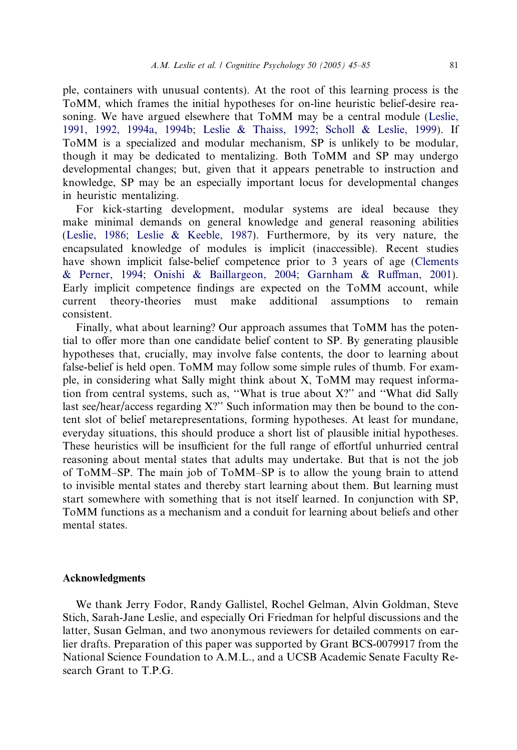ple, containers with unusual contents). At the root of this learning process is the ToMM, which frames the initial hypotheses for on-line heuristic belief-desire reasoning. We have argued elsewhere that ToMM may be a central module ([Leslie,](#page-39-0) [1991, 1992, 1994a, 1994b;](#page-39-0) [Leslie & Thaiss, 1992;](#page-39-0) [Scholl & Leslie, 1999\)](#page-40-0). If ToMM is a specialized and modular mechanism, SP is unlikely to be modular, though it may be dedicated to mentalizing. Both ToMM and SP may undergo developmental changes; but, given that it appears penetrable to instruction and knowledge, SP may be an especially important locus for developmental changes in heuristic mentalizing.

For kick-starting development, modular systems are ideal because they make minimal demands on general knowledge and general reasoning abilities [\(Leslie, 1986](#page-39-0); [Leslie & Keeble, 1987\)](#page-39-0). Furthermore, by its very nature, the encapsulated knowledge of modules is implicit (inaccessible). Recent studies have shown implicit false-belief competence prior to 3 years of age ([Clements](#page-38-0) [& Perner, 1994;](#page-38-0) [Onishi & Baillargeon, 2004;](#page-40-0) [Garnham & Ruffman, 2001](#page-39-0)). Early implicit competence findings are expected on the ToMM account, while current theory-theories must make additional assumptions to remain consistent.

Finally, what about learning? Our approach assumes that ToMM has the potential to offer more than one candidate belief content to SP. By generating plausible hypotheses that, crucially, may involve false contents, the door to learning about false-belief is held open. ToMM may follow some simple rules of thumb. For example, in considering what Sally might think about X, ToMM may request information from central systems, such as, ''What is true about X?'' and ''What did Sally last see/hear/access regarding X?'' Such information may then be bound to the content slot of belief metarepresentations, forming hypotheses. At least for mundane, everyday situations, this should produce a short list of plausible initial hypotheses. These heuristics will be insufficient for the full range of effortful unhurried central reasoning about mental states that adults may undertake. But that is not the job of ToMM–SP. The main job of ToMM–SP is to allow the young brain to attend to invisible mental states and thereby start learning about them. But learning must start somewhere with something that is not itself learned. In conjunction with SP, ToMM functions as a mechanism and a conduit for learning about beliefs and other mental states.

# Acknowledgments

We thank Jerry Fodor, Randy Gallistel, Rochel Gelman, Alvin Goldman, Steve Stich, Sarah-Jane Leslie, and especially Ori Friedman for helpful discussions and the latter, Susan Gelman, and two anonymous reviewers for detailed comments on earlier drafts. Preparation of this paper was supported by Grant BCS-0079917 from the National Science Foundation to A.M.L., and a UCSB Academic Senate Faculty Research Grant to T.P.G.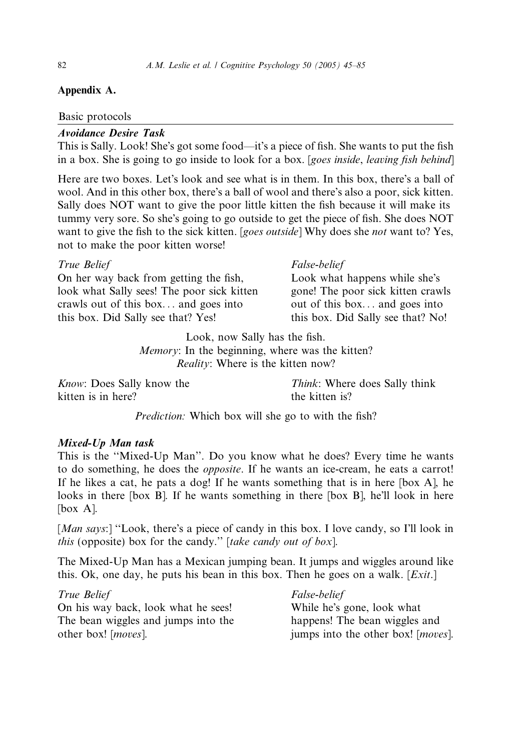# Appendix A.

#### Basic protocols

# Avoidance Desire Task

This is Sally. Look! She's got some food—it's a piece of fish. She wants to put the fish in a box. She is going to go inside to look for a box. [goes inside, leaving fish behind]

Here are two boxes. Let's look and see what is in them. In this box, there's a ball of wool. And in this other box, there's a ball of wool and there's also a poor, sick kitten. Sally does NOT want to give the poor little kitten the fish because it will make its tummy very sore. So she's going to go outside to get the piece of fish. She does NOT want to give the fish to the sick kitten. [goes outside] Why does she not want to? Yes, not to make the poor kitten worse!

| True Belief                                | <i>False-belief</i>               |
|--------------------------------------------|-----------------------------------|
| On her way back from getting the fish,     | Look what happens while she's     |
| look what Sally sees! The poor sick kitten | gone! The poor sick kitten crawls |
| crawls out of this box and goes into       | out of this box and goes into     |
| this box. Did Sally see that? Yes!         | this box. Did Sally see that? No! |

Look, now Sally has the fish.

Memory: In the beginning, where was the kitten? Reality: Where is the kitten now?

Know: Does Sally know the kitten is in here?

Think: Where does Sally think the kitten is?

Prediction: Which box will she go to with the fish?

#### Mixed-Up Man task

This is the ''Mixed-Up Man''. Do you know what he does? Every time he wants to do something, he does the opposite. If he wants an ice-cream, he eats a carrot! If he likes a cat, he pats a dog! If he wants something that is in here [box A], he looks in there [box B]. If he wants something in there [box B], he'll look in here [box A].

[Man says:] "Look, there's a piece of candy in this box. I love candy, so I'll look in this (opposite) box for the candy.'' [take candy out of box].

The Mixed-Up Man has a Mexican jumping bean. It jumps and wiggles around like this. Ok, one day, he puts his bean in this box. Then he goes on a walk.  $[Exit.]$ 

True Belief False-belief On his way back, look what he sees! The bean wiggles and jumps into the other box! [moves].

While he's gone, look what happens! The bean wiggles and jumps into the other box! [moves].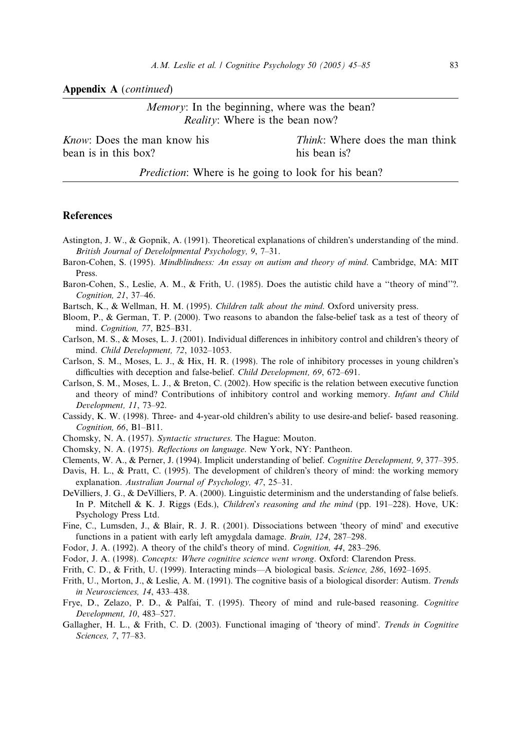<span id="page-38-0"></span>Appendix A (continued)

Memory: In the beginning, where was the bean? Reality: Where is the bean now?

Know: Does the man know his bean is in this box?

Think: Where does the man think his bean is?

Prediction: Where is he going to look for his bean?

#### References

- Astington, J. W., & Gopnik, A. (1991). Theoretical explanations of children's understanding of the mind. British Journal of Develolpmental Psychology, 9, 7–31.
- Baron-Cohen, S. (1995). Mindblindness: An essay on autism and theory of mind. Cambridge, MA: MIT Press.
- Baron-Cohen, S., Leslie, A. M., & Frith, U. (1985). Does the autistic child have a ''theory of mind''?. Cognition, 21, 37–46.
- Bartsch, K., & Wellman, H. M. (1995). Children talk about the mind. Oxford university press.
- Bloom, P., & German, T. P. (2000). Two reasons to abandon the false-belief task as a test of theory of mind. Cognition, 77, B25–B31.
- Carlson, M. S., & Moses, L. J. (2001). Individual differences in inhibitory control and children's theory of mind. Child Development, 72, 1032–1053.
- Carlson, S. M., Moses, L. J., & Hix, H. R. (1998). The role of inhibitory processes in young children's difficulties with deception and false-belief. Child Development, 69, 672–691.
- Carlson, S. M., Moses, L. J., & Breton, C. (2002). How specific is the relation between executive function and theory of mind? Contributions of inhibitory control and working memory. Infant and Child Development, 11, 73–92.
- Cassidy, K. W. (1998). Three- and 4-year-old children's ability to use desire-and belief- based reasoning. Cognition, 66, B1–B11.
- Chomsky, N. A. (1957). Syntactic structures. The Hague: Mouton.
- Chomsky, N. A. (1975). Reflections on language. New York, NY: Pantheon.
- Clements, W. A., & Perner, J. (1994). Implicit understanding of belief. Cognitive Development, 9, 377–395.
- Davis, H. L., & Pratt, C. (1995). The development of children's theory of mind: the working memory explanation. Australian Journal of Psychology, 47, 25–31.
- DeVilliers, J. G., & DeVilliers, P. A. (2000). Linguistic determinism and the understanding of false beliefs. In P. Mitchell & K. J. Riggs (Eds.), Children's reasoning and the mind (pp. 191–228). Hove, UK: Psychology Press Ltd.
- Fine, C., Lumsden, J., & Blair, R. J. R. (2001). Dissociations between 'theory of mind' and executive functions in a patient with early left amygdala damage. *Brain*, 124, 287–298.
- Fodor, J. A. (1992). A theory of the child's theory of mind. Cognition, 44, 283-296.
- Fodor, J. A. (1998). Concepts: Where cognitive science went wrong. Oxford: Clarendon Press.
- Frith, C. D., & Frith, U. (1999). Interacting minds—A biological basis. Science, 286, 1692–1695.
- Frith, U., Morton, J., & Leslie, A. M. (1991). The cognitive basis of a biological disorder: Autism. Trends in Neurosciences, 14, 433–438.
- Frye, D., Zelazo, P. D., & Palfai, T. (1995). Theory of mind and rule-based reasoning. Cognitive Development, 10, 483–527.
- Gallagher, H. L., & Frith, C. D. (2003). Functional imaging of 'theory of mind'. Trends in Cognitive Sciences, 7, 77–83.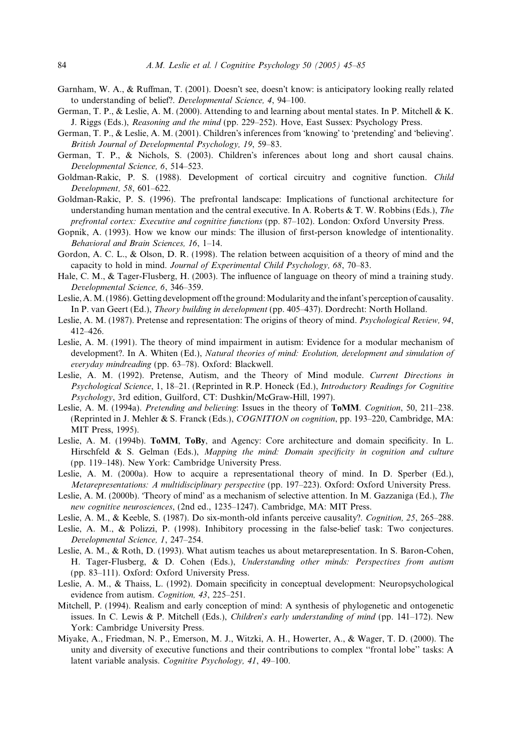- <span id="page-39-0"></span>Garnham, W. A., & Ruffman, T. (2001). Doesn't see, doesn't know: is anticipatory looking really related to understanding of belief?. Developmental Science, 4, 94–100.
- German, T. P., & Leslie, A. M. (2000). Attending to and learning about mental states. In P. Mitchell & K. J. Riggs (Eds.), Reasoning and the mind (pp. 229–252). Hove, East Sussex: Psychology Press.
- German, T. P., & Leslie, A. M. (2001). Children's inferences from 'knowing' to 'pretending' and 'believing'. British Journal of Developmental Psychology, 19, 59–83.
- German, T. P., & Nichols, S.  $(2003)$ . Children's inferences about long and short causal chains. Developmental Science, 6, 514–523.
- Goldman-Rakic, P. S. (1988). Development of cortical circuitry and cognitive function. Child Development, 58, 601–622.
- Goldman-Rakic, P. S. (1996). The prefrontal landscape: Implications of functional architecture for understanding human mentation and the central executive. In A. Roberts  $\&$  T. W. Robbins (Eds.), The prefrontal cortex: Executive and cognitive functions (pp. 87–102). London: Oxford Unversity Press.
- Gopnik, A. (1993). How we know our minds: The illusion of first-person knowledge of intentionality. Behavioral and Brain Sciences, 16, 1–14.
- Gordon, A. C. L., & Olson, D. R. (1998). The relation between acquisition of a theory of mind and the capacity to hold in mind. Journal of Experimental Child Psychology, 68, 70–83.
- Hale, C. M., & Tager-Flusberg, H. (2003). The influence of language on theory of mind a training study. Developmental Science, 6, 346–359.
- Leslie, A. M. (1986). Getting development off the ground: Modularity and the infant's perception of causality. In P. van Geert (Ed.), Theory building in development (pp. 405–437). Dordrecht: North Holland.
- Leslie, A. M. (1987). Pretense and representation: The origins of theory of mind. Psychological Review, 94, 412–426.
- Leslie, A. M. (1991). The theory of mind impairment in autism: Evidence for a modular mechanism of development?. In A. Whiten (Ed.), Natural theories of mind: Evolution, development and simulation of everyday mindreading (pp. 63–78). Oxford: Blackwell.
- Leslie, A. M. (1992). Pretense, Autism, and the Theory of Mind module. Current Directions in Psychological Science, 1, 18–21. (Reprinted in R.P. Honeck (Ed.), Introductory Readings for Cognitive Psychology, 3rd edition, Guilford, CT: Dushkin/McGraw-Hill, 1997).
- Leslie, A. M. (1994a). Pretending and believing: Issues in the theory of ToMM. Cognition, 50, 211–238. (Reprinted in J. Mehler & S. Franck (Eds.), COGNITION on cognition, pp. 193–220, Cambridge, MA: MIT Press, 1995).
- Leslie, A. M. (1994b). ToMM, ToBy, and Agency: Core architecture and domain specificity. In L. Hirschfeld  $\&$  S. Gelman (Eds.), Mapping the mind: Domain specificity in cognition and culture (pp. 119–148). New York: Cambridge University Press.
- Leslie, A. M. (2000a). How to acquire a representational theory of mind. In D. Sperber (Ed.), Metarepresentations: A multidisciplinary perspective (pp. 197–223). Oxford: Oxford University Press.
- Leslie, A. M. (2000b). 'Theory of mind' as a mechanism of selective attention. In M. Gazzaniga (Ed.), The new cognitive neurosciences, (2nd ed., 1235–1247). Cambridge, MA: MIT Press.
- Leslie, A. M., & Keeble, S. (1987). Do six-month-old infants perceive causality?. Cognition, 25, 265–288.
- Leslie, A. M., & Polizzi, P. (1998). Inhibitory processing in the false-belief task: Two conjectures. Developmental Science, 1, 247–254.
- Leslie, A. M., & Roth, D. (1993). What autism teaches us about metarepresentation. In S. Baron-Cohen, H. Tager-Flusberg, & D. Cohen (Eds.), Understanding other minds: Perspectives from autism (pp. 83–111). Oxford: Oxford University Press.
- Leslie, A. M., & Thaiss, L. (1992). Domain specificity in conceptual development: Neuropsychological evidence from autism. Cognition, 43, 225–251.
- Mitchell, P. (1994). Realism and early conception of mind: A synthesis of phylogenetic and ontogenetic issues. In C. Lewis & P. Mitchell (Eds.), *Children's early understanding of mind* (pp.  $141-172$ ). New York: Cambridge University Press.
- Miyake, A., Friedman, N. P., Emerson, M. J., Witzki, A. H., Howerter, A., & Wager, T. D. (2000). The unity and diversity of executive functions and their contributions to complex ''frontal lobe'' tasks: A latent variable analysis. Cognitive Psychology, 41, 49–100.